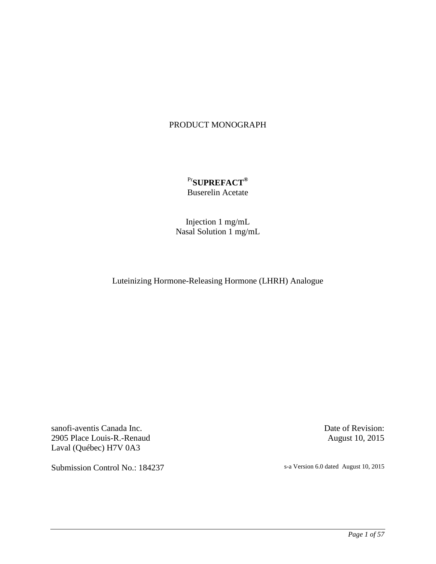# PRODUCT MONOGRAPH

# Pr**SUPREFACT®** Buserelin Acetate

Injection 1 mg/mL Nasal Solution 1 mg/mL

Luteinizing Hormone-Releasing Hormone (LHRH) Analogue

sanofi-aventis Canada Inc. 2905 Place Louis-R.-Renaud Laval (Québec) H7V 0A3

Submission Control No.: 184237 s-a Version 6.0 dated August 10, 2015

Date of Revision: August 10, 2015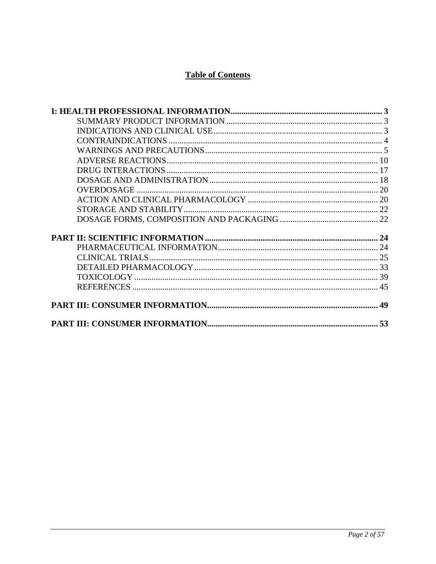# **Table of Contents**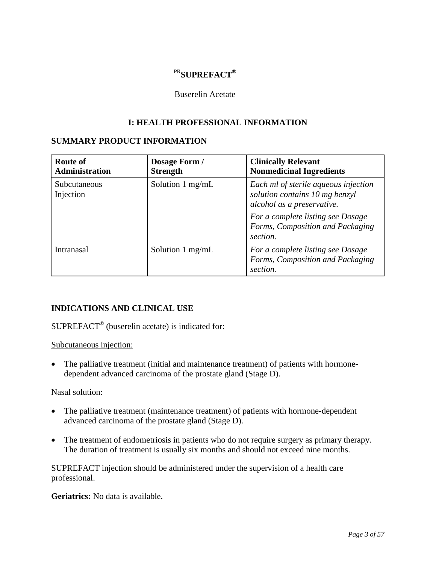# PR**SUPREFACT®**

# Buserelin Acetate

# **I: HEALTH PROFESSIONAL INFORMATION**

# <span id="page-2-1"></span><span id="page-2-0"></span>**SUMMARY PRODUCT INFORMATION**

| <b>Route of</b><br><b>Administration</b> | Dosage Form /<br><b>Strength</b> | <b>Clinically Relevant</b><br><b>Nonmedicinal Ingredients</b>                                        |
|------------------------------------------|----------------------------------|------------------------------------------------------------------------------------------------------|
| Subcutaneous<br>Injection                | Solution $1 \text{ mg/mL}$       | Each ml of sterile aqueous injection<br>solution contains 10 mg benzyl<br>alcohol as a preservative. |
|                                          |                                  | For a complete listing see Dosage<br>Forms, Composition and Packaging<br>section.                    |
| Intranasal                               | Solution $1 \text{ mg/mL}$       | For a complete listing see Dosage<br>Forms, Composition and Packaging<br>section.                    |

# <span id="page-2-2"></span>**INDICATIONS AND CLINICAL USE**

# SUPREFACT® (buserelin acetate) is indicated for:

Subcutaneous injection:

• The palliative treatment (initial and maintenance treatment) of patients with hormonedependent advanced carcinoma of the prostate gland (Stage D).

## Nasal solution:

- The palliative treatment (maintenance treatment) of patients with hormone-dependent advanced carcinoma of the prostate gland (Stage D).
- The treatment of endometriosis in patients who do not require surgery as primary therapy. The duration of treatment is usually six months and should not exceed nine months.

SUPREFACT injection should be administered under the supervision of a health care professional.

**Geriatrics:** No data is available.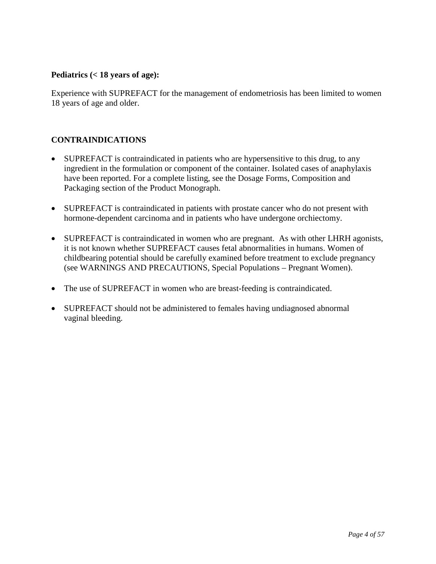# **Pediatrics (< 18 years of age):**

Experience with SUPREFACT for the management of endometriosis has been limited to women 18 years of age and older.

# <span id="page-3-0"></span>**CONTRAINDICATIONS**

- SUPREFACT is contraindicated in patients who are hypersensitive to this drug, to any ingredient in the formulation or component of the container. Isolated cases of anaphylaxis have been reported. For a complete listing, see the Dosage Forms, Composition and Packaging section of the Product Monograph.
- SUPREFACT is contraindicated in patients with prostate cancer who do not present with hormone-dependent carcinoma and in patients who have undergone orchiectomy.
- SUPREFACT is contraindicated in women who are pregnant. As with other LHRH agonists, it is not known whether SUPREFACT causes fetal abnormalities in humans. Women of childbearing potential should be carefully examined before treatment to exclude pregnancy (see WARNINGS AND PRECAUTIONS, Special Populations – Pregnant Women).
- The use of SUPREFACT in women who are breast-feeding is contraindicated.
- SUPREFACT should not be administered to females having undiagnosed abnormal vaginal bleeding.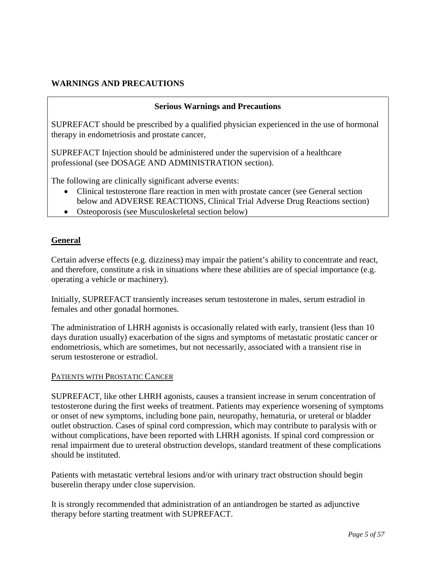# <span id="page-4-0"></span>**WARNINGS AND PRECAUTIONS**

## **Serious Warnings and Precautions**

SUPREFACT should be prescribed by a qualified physician experienced in the use of hormonal therapy in endometriosis and prostate cancer,

SUPREFACT Injection should be administered under the supervision of a healthcare professional (see DOSAGE AND ADMINISTRATION section).

The following are clinically significant adverse events:

- Clinical testosterone flare reaction in men with prostate cancer (see General section below and ADVERSE REACTIONS, Clinical Trial Adverse Drug Reactions section)
- Osteoporosis (see Musculoskeletal section below)

# **General**

Certain adverse effects (e.g. dizziness) may impair the patient's ability to concentrate and react, and therefore, constitute a risk in situations where these abilities are of special importance (e.g. operating a vehicle or machinery).

Initially, SUPREFACT transiently increases serum testosterone in males, serum estradiol in females and other gonadal hormones.

The administration of LHRH agonists is occasionally related with early, transient (less than 10 days duration usually) exacerbation of the signs and symptoms of metastatic prostatic cancer or endometriosis, which are sometimes, but not necessarily, associated with a transient rise in serum testosterone or estradiol.

#### PATIENTS WITH PROSTATIC CANCER

SUPREFACT, like other LHRH agonists, causes a transient increase in serum concentration of testosterone during the first weeks of treatment. Patients may experience worsening of symptoms or onset of new symptoms, including bone pain, neuropathy, hematuria, or ureteral or bladder outlet obstruction. Cases of spinal cord compression, which may contribute to paralysis with or without complications, have been reported with LHRH agonists. If spinal cord compression or renal impairment due to ureteral obstruction develops, standard treatment of these complications should be instituted.

Patients with metastatic vertebral lesions and/or with urinary tract obstruction should begin buserelin therapy under close supervision.

It is strongly recommended that administration of an antiandrogen be started as adjunctive therapy before starting treatment with SUPREFACT.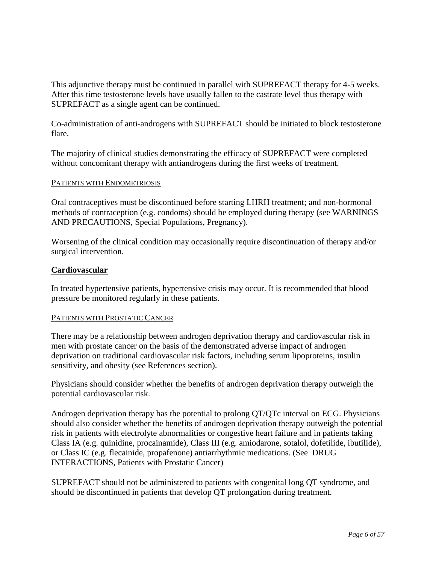This adjunctive therapy must be continued in parallel with SUPREFACT therapy for 4-5 weeks. After this time testosterone levels have usually fallen to the castrate level thus therapy with SUPREFACT as a single agent can be continued.

Co-administration of anti-androgens with SUPREFACT should be initiated to block testosterone flare.

The majority of clinical studies demonstrating the efficacy of SUPREFACT were completed without concomitant therapy with antiandrogens during the first weeks of treatment.

### PATIENTS WITH ENDOMETRIOSIS

Oral contraceptives must be discontinued before starting LHRH treatment; and non-hormonal methods of contraception (e.g. condoms) should be employed during therapy (see WARNINGS AND PRECAUTIONS, Special Populations, Pregnancy).

Worsening of the clinical condition may occasionally require discontinuation of therapy and/or surgical intervention.

### **Cardiovascular**

In treated hypertensive patients, hypertensive crisis may occur. It is recommended that blood pressure be monitored regularly in these patients.

#### PATIENTS WITH PROSTATIC CANCER

There may be a relationship between androgen deprivation therapy and cardiovascular risk in men with prostate cancer on the basis of the demonstrated adverse impact of androgen deprivation on traditional cardiovascular risk factors, including serum lipoproteins, insulin sensitivity, and obesity (see References section).

Physicians should consider whether the benefits of androgen deprivation therapy outweigh the potential cardiovascular risk.

Androgen deprivation therapy has the potential to prolong QT/QTc interval on ECG. Physicians should also consider whether the benefits of androgen deprivation therapy outweigh the potential risk in patients with electrolyte abnormalities or congestive heart failure and in patients taking Class IA (e.g. quinidine, procainamide), Class III (e.g. amiodarone, sotalol, dofetilide, ibutilide), or Class IC (e.g. flecainide, propafenone) antiarrhythmic medications. (See DRUG INTERACTIONS, Patients with Prostatic Cancer)

SUPREFACT should not be administered to patients with congenital long QT syndrome, and should be discontinued in patients that develop QT prolongation during treatment.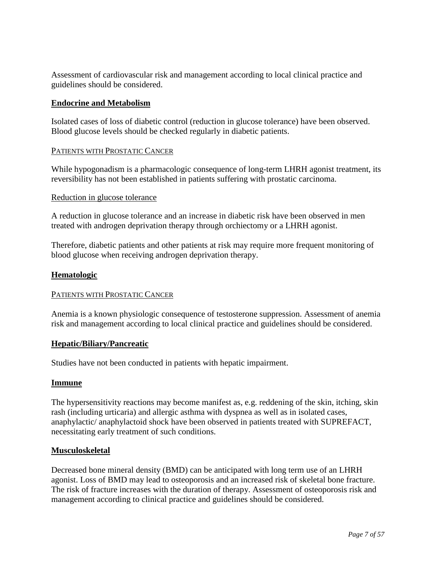Assessment of cardiovascular risk and management according to local clinical practice and guidelines should be considered.

## **Endocrine and Metabolism**

Isolated cases of loss of diabetic control (reduction in glucose tolerance) have been observed. Blood glucose levels should be checked regularly in diabetic patients.

### PATIENTS WITH PROSTATIC CANCER

While hypogonadism is a pharmacologic consequence of long-term LHRH agonist treatment, its reversibility has not been established in patients suffering with prostatic carcinoma.

### Reduction in glucose tolerance

A reduction in glucose tolerance and an increase in diabetic risk have been observed in men treated with androgen deprivation therapy through orchiectomy or a LHRH agonist.

Therefore, diabetic patients and other patients at risk may require more frequent monitoring of blood glucose when receiving androgen deprivation therapy.

### **Hematologic**

#### PATIENTS WITH PROSTATIC CANCER

Anemia is a known physiologic consequence of testosterone suppression. Assessment of anemia risk and management according to local clinical practice and guidelines should be considered.

## **Hepatic/Biliary/Pancreatic**

Studies have not been conducted in patients with hepatic impairment.

#### **Immune**

The hypersensitivity reactions may become manifest as, e.g. reddening of the skin, itching, skin rash (including urticaria) and allergic asthma with dyspnea as well as in isolated cases, anaphylactic/ anaphylactoid shock have been observed in patients treated with SUPREFACT, necessitating early treatment of such conditions.

#### **Musculoskeletal**

Decreased bone mineral density (BMD) can be anticipated with long term use of an LHRH agonist. Loss of BMD may lead to osteoporosis and an increased risk of skeletal bone fracture. The risk of fracture increases with the duration of therapy. Assessment of osteoporosis risk and management according to clinical practice and guidelines should be considered.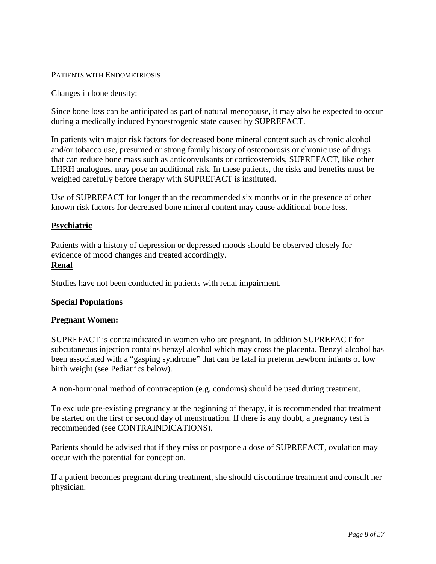## PATIENTS WITH ENDOMETRIOSIS

Changes in bone density:

Since bone loss can be anticipated as part of natural menopause, it may also be expected to occur during a medically induced hypoestrogenic state caused by SUPREFACT.

In patients with major risk factors for decreased bone mineral content such as chronic alcohol and/or tobacco use, presumed or strong family history of osteoporosis or chronic use of drugs that can reduce bone mass such as anticonvulsants or corticosteroids, SUPREFACT, like other LHRH analogues, may pose an additional risk. In these patients, the risks and benefits must be weighed carefully before therapy with SUPREFACT is instituted.

Use of SUPREFACT for longer than the recommended six months or in the presence of other known risk factors for decreased bone mineral content may cause additional bone loss.

## **Psychiatric**

Patients with a history of depression or depressed moods should be observed closely for evidence of mood changes and treated accordingly. **Renal**

Studies have not been conducted in patients with renal impairment.

## **Special Populations**

#### **Pregnant Women:**

SUPREFACT is contraindicated in women who are pregnant. In addition SUPREFACT for subcutaneous injection contains benzyl alcohol which may cross the placenta. Benzyl alcohol has been associated with a "gasping syndrome" that can be fatal in preterm newborn infants of low birth weight (see Pediatrics below).

A non-hormonal method of contraception (e.g. condoms) should be used during treatment.

To exclude pre-existing pregnancy at the beginning of therapy, it is recommended that treatment be started on the first or second day of menstruation. If there is any doubt, a pregnancy test is recommended (see CONTRAINDICATIONS).

Patients should be advised that if they miss or postpone a dose of SUPREFACT, ovulation may occur with the potential for conception.

If a patient becomes pregnant during treatment, she should discontinue treatment and consult her physician.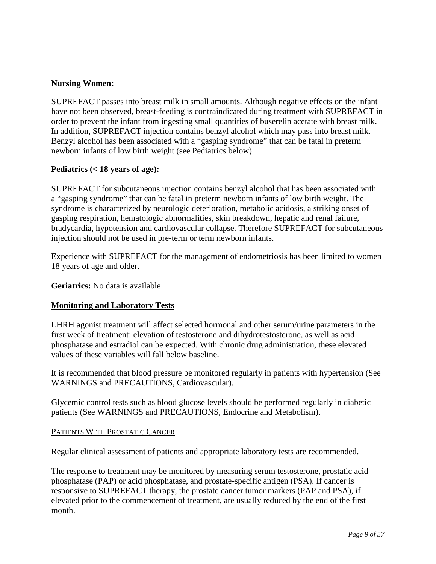# **Nursing Women:**

SUPREFACT passes into breast milk in small amounts. Although negative effects on the infant have not been observed, breast-feeding is contraindicated during treatment with SUPREFACT in order to prevent the infant from ingesting small quantities of buserelin acetate with breast milk. In addition, SUPREFACT injection contains benzyl alcohol which may pass into breast milk. Benzyl alcohol has been associated with a "gasping syndrome" that can be fatal in preterm newborn infants of low birth weight (see Pediatrics below).

## **Pediatrics (< 18 years of age):**

SUPREFACT for subcutaneous injection contains benzyl alcohol that has been associated with a "gasping syndrome" that can be fatal in preterm newborn infants of low birth weight. The syndrome is characterized by neurologic deterioration, metabolic acidosis, a striking onset of gasping respiration, hematologic abnormalities, skin breakdown, hepatic and renal failure, bradycardia, hypotension and cardiovascular collapse. Therefore SUPREFACT for subcutaneous injection should not be used in pre-term or term newborn infants.

Experience with SUPREFACT for the management of endometriosis has been limited to women 18 years of age and older.

**Geriatrics:** No data is available

## **Monitoring and Laboratory Tests**

LHRH agonist treatment will affect selected hormonal and other serum/urine parameters in the first week of treatment: elevation of testosterone and dihydrotestosterone, as well as acid phosphatase and estradiol can be expected. With chronic drug administration, these elevated values of these variables will fall below baseline.

It is recommended that blood pressure be monitored regularly in patients with hypertension (See WARNINGS and PRECAUTIONS, Cardiovascular).

Glycemic control tests such as blood glucose levels should be performed regularly in diabetic patients (See WARNINGS and PRECAUTIONS, Endocrine and Metabolism).

#### PATIENTS WITH PROSTATIC CANCER

Regular clinical assessment of patients and appropriate laboratory tests are recommended.

The response to treatment may be monitored by measuring serum testosterone, prostatic acid phosphatase (PAP) or acid phosphatase, and prostate-specific antigen (PSA). If cancer is responsive to SUPREFACT therapy, the prostate cancer tumor markers (PAP and PSA), if elevated prior to the commencement of treatment, are usually reduced by the end of the first month.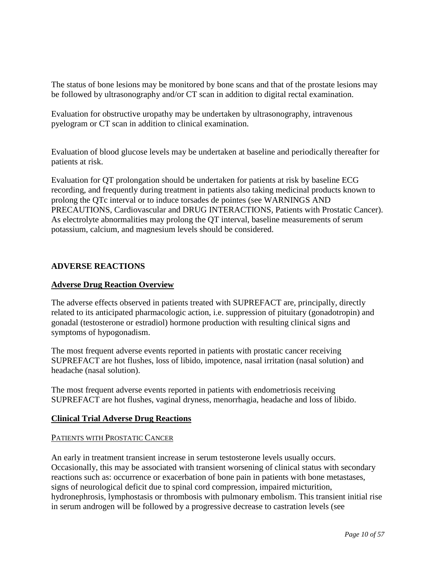The status of bone lesions may be monitored by bone scans and that of the prostate lesions may be followed by ultrasonography and/or CT scan in addition to digital rectal examination.

Evaluation for obstructive uropathy may be undertaken by ultrasonography, intravenous pyelogram or CT scan in addition to clinical examination.

Evaluation of blood glucose levels may be undertaken at baseline and periodically thereafter for patients at risk.

Evaluation for QT prolongation should be undertaken for patients at risk by baseline ECG recording, and frequently during treatment in patients also taking medicinal products known to prolong the QTc interval or to induce torsades de pointes (see WARNINGS AND PRECAUTIONS, Cardiovascular and DRUG INTERACTIONS, Patients with Prostatic Cancer). As electrolyte abnormalities may prolong the QT interval, baseline measurements of serum potassium, calcium, and magnesium levels should be considered.

# <span id="page-9-0"></span>**ADVERSE REACTIONS**

## **Adverse Drug Reaction Overview**

The adverse effects observed in patients treated with SUPREFACT are, principally, directly related to its anticipated pharmacologic action, i.e. suppression of pituitary (gonadotropin) and gonadal (testosterone or estradiol) hormone production with resulting clinical signs and symptoms of hypogonadism.

The most frequent adverse events reported in patients with prostatic cancer receiving SUPREFACT are hot flushes, loss of libido, impotence, nasal irritation (nasal solution) and headache (nasal solution).

The most frequent adverse events reported in patients with endometriosis receiving SUPREFACT are hot flushes, vaginal dryness, menorrhagia, headache and loss of libido.

## **Clinical Trial Adverse Drug Reactions**

#### PATIENTS WITH PROSTATIC CANCER

An early in treatment transient increase in serum testosterone levels usually occurs. Occasionally, this may be associated with transient worsening of clinical status with secondary reactions such as: occurrence or exacerbation of bone pain in patients with bone metastases, signs of neurological deficit due to spinal cord compression, impaired micturition, hydronephrosis, lymphostasis or thrombosis with pulmonary embolism. This transient initial rise in serum androgen will be followed by a progressive decrease to castration levels (see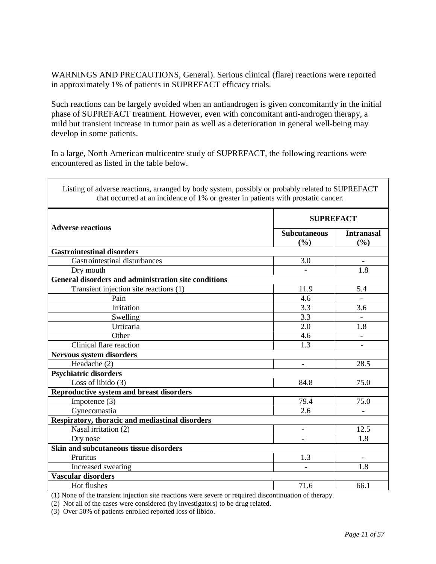WARNINGS AND PRECAUTIONS, General). Serious clinical (flare) reactions were reported in approximately 1% of patients in SUPREFACT efficacy trials.

Such reactions can be largely avoided when an antiandrogen is given concomitantly in the initial phase of SUPREFACT treatment. However, even with concomitant anti-androgen therapy, a mild but transient increase in tumor pain as well as a deterioration in general well-being may develop in some patients.

In a large, North American multicentre study of SUPREFACT, the following reactions were encountered as listed in the table below.

| Listing of adverse reactions, arranged by body system, possibly or probably related to SUPREFACT<br>that occurred at an incidence of 1% or greater in patients with prostatic cancer. |                            |                          |  |
|---------------------------------------------------------------------------------------------------------------------------------------------------------------------------------------|----------------------------|--------------------------|--|
| <b>Adverse reactions</b>                                                                                                                                                              | <b>SUPREFACT</b>           |                          |  |
|                                                                                                                                                                                       | <b>Subcutaneous</b><br>(%) | <b>Intranasal</b><br>(%) |  |
| <b>Gastrointestinal disorders</b>                                                                                                                                                     |                            |                          |  |
| Gastrointestinal disturbances                                                                                                                                                         | 3.0                        |                          |  |
| Dry mouth                                                                                                                                                                             |                            | 1.8                      |  |
| General disorders and administration site conditions                                                                                                                                  |                            |                          |  |
| Transient injection site reactions (1)                                                                                                                                                | 11.9                       | 5.4                      |  |
| Pain                                                                                                                                                                                  | 4.6                        |                          |  |
| Irritation                                                                                                                                                                            | 3.3                        | 3.6                      |  |
| Swelling                                                                                                                                                                              | 3.3                        | $\overline{\phantom{a}}$ |  |
| Urticaria                                                                                                                                                                             | 2.0                        | 1.8                      |  |
| Other                                                                                                                                                                                 | 4.6                        |                          |  |
| Clinical flare reaction                                                                                                                                                               | 1.3                        | $\overline{\phantom{0}}$ |  |
| Nervous system disorders                                                                                                                                                              |                            |                          |  |
| Headache (2)                                                                                                                                                                          |                            | 28.5                     |  |
| <b>Psychiatric disorders</b>                                                                                                                                                          |                            |                          |  |
| Loss of libido $(3)$                                                                                                                                                                  | 84.8                       | 75.0                     |  |
| <b>Reproductive system and breast disorders</b>                                                                                                                                       |                            |                          |  |
| Impotence $(3)$                                                                                                                                                                       | 79.4                       | 75.0                     |  |
| Gynecomastia                                                                                                                                                                          | 2.6                        | $\overline{\phantom{0}}$ |  |
| Respiratory, thoracic and mediastinal disorders                                                                                                                                       |                            |                          |  |
| Nasal irritation (2)                                                                                                                                                                  | $\overline{a}$             | 12.5                     |  |
| Dry nose                                                                                                                                                                              |                            | 1.8                      |  |
| Skin and subcutaneous tissue disorders                                                                                                                                                |                            |                          |  |
| Pruritus                                                                                                                                                                              | 1.3                        |                          |  |
| Increased sweating                                                                                                                                                                    |                            | 1.8                      |  |
| <b>Vascular disorders</b>                                                                                                                                                             |                            |                          |  |
| Hot flushes                                                                                                                                                                           | 71.6                       | 66.1                     |  |

(1) None of the transient injection site reactions were severe or required discontinuation of therapy.

(2) Not all of the cases were considered (by investigators) to be drug related.

(3) Over 50% of patients enrolled reported loss of libido.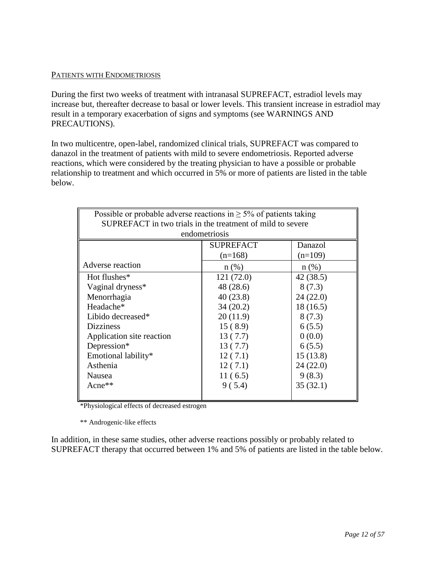### PATIENTS WITH ENDOMETRIOSIS

During the first two weeks of treatment with intranasal SUPREFACT, estradiol levels may increase but, thereafter decrease to basal or lower levels. This transient increase in estradiol may result in a temporary exacerbation of signs and symptoms (see WARNINGS AND PRECAUTIONS).

In two multicentre, open-label, randomized clinical trials, SUPREFACT was compared to danazol in the treatment of patients with mild to severe endometriosis. Reported adverse reactions, which were considered by the treating physician to have a possible or probable relationship to treatment and which occurred in 5% or more of patients are listed in the table below.

| Possible or probable adverse reactions in $\geq$ 5% of patients taking<br>SUPREFACT in two trials in the treatment of mild to severe<br>endometriosis |            |          |  |  |  |  |
|-------------------------------------------------------------------------------------------------------------------------------------------------------|------------|----------|--|--|--|--|
| Danazol<br><b>SUPREFACT</b><br>$(n=168)$<br>$(n=109)$                                                                                                 |            |          |  |  |  |  |
| Adverse reaction                                                                                                                                      | $n$ (%)    | $n(\%)$  |  |  |  |  |
| Hot flushes*                                                                                                                                          | 121 (72.0) | 42(38.5) |  |  |  |  |
| Vaginal dryness*                                                                                                                                      | 48 (28.6)  | 8(7.3)   |  |  |  |  |
| Menorrhagia                                                                                                                                           | 40(23.8)   | 24(22.0) |  |  |  |  |
| Headache*<br>34(20.2)<br>18(16.5)                                                                                                                     |            |          |  |  |  |  |
| Libido decreased*<br>20(11.9)<br>8(7.3)                                                                                                               |            |          |  |  |  |  |
| <b>Dizziness</b><br>15(8.9)<br>6(5.5)                                                                                                                 |            |          |  |  |  |  |
| 0(0.0)<br>Application site reaction<br>13(7.7)                                                                                                        |            |          |  |  |  |  |
| Depression*<br>13(7.7)<br>6(5.5)                                                                                                                      |            |          |  |  |  |  |
| Emotional lability*<br>15(13.8)<br>12(7.1)                                                                                                            |            |          |  |  |  |  |
| Asthenia<br>24(22.0)<br>12(7.1)                                                                                                                       |            |          |  |  |  |  |
| 11(6.5)<br>9(8.3)<br>Nausea                                                                                                                           |            |          |  |  |  |  |
| Acne $**$                                                                                                                                             | 9(5.4)     | 35(32.1) |  |  |  |  |
|                                                                                                                                                       |            |          |  |  |  |  |

\*Physiological effects of decreased estrogen

\*\* Androgenic-like effects

In addition, in these same studies, other adverse reactions possibly or probably related to SUPREFACT therapy that occurred between 1% and 5% of patients are listed in the table below.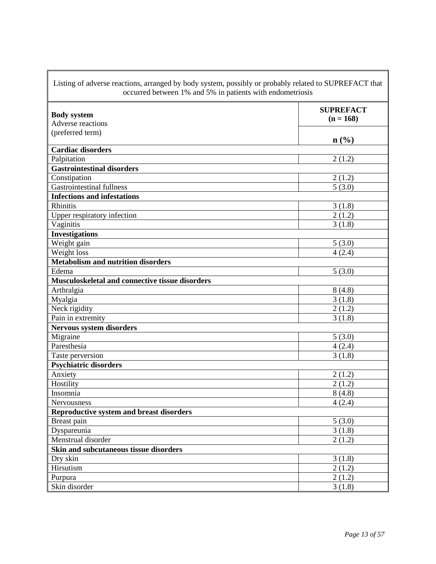| Listing of adverse reactions, arranged by body system, possibly or probably related to SUPREFACT that |                      |  |  |  |
|-------------------------------------------------------------------------------------------------------|----------------------|--|--|--|
| occurred between 1% and 5% in patients with endometriosis                                             |                      |  |  |  |
| <b>Body system</b>                                                                                    | <b>SUPREFACT</b>     |  |  |  |
| Adverse reactions                                                                                     | $(n = 168)$          |  |  |  |
| (preferred term)                                                                                      |                      |  |  |  |
|                                                                                                       | $\mathbf{n}(\%)$     |  |  |  |
| <b>Cardiac disorders</b>                                                                              |                      |  |  |  |
| Palpitation                                                                                           | 2(1.2)               |  |  |  |
| <b>Gastrointestinal disorders</b>                                                                     |                      |  |  |  |
| Constipation                                                                                          | 2(1.2)               |  |  |  |
| <b>Gastrointestinal fullness</b>                                                                      | $\overline{5(3.0)}$  |  |  |  |
| <b>Infections and infestations</b>                                                                    |                      |  |  |  |
| Rhinitis                                                                                              | 3(1.8)               |  |  |  |
| Upper respiratory infection                                                                           | 2(1.2)               |  |  |  |
| Vaginitis                                                                                             | 3(1.8)               |  |  |  |
| <b>Investigations</b>                                                                                 |                      |  |  |  |
| Weight gain                                                                                           | 5(3.0)               |  |  |  |
| Weight loss                                                                                           | 4(2.4)               |  |  |  |
| <b>Metabolism and nutrition disorders</b>                                                             |                      |  |  |  |
| Edema                                                                                                 | 5(3.0)               |  |  |  |
| Musculoskeletal and connective tissue disorders                                                       |                      |  |  |  |
| Arthralgia                                                                                            | 8(4.8)               |  |  |  |
| Myalgia                                                                                               | 3(1.8)               |  |  |  |
| Neck rigidity                                                                                         | 2(1.2)               |  |  |  |
| Pain in extremity                                                                                     | 3(1.8)               |  |  |  |
| Nervous system disorders                                                                              |                      |  |  |  |
| Migraine                                                                                              | 5(3.0)               |  |  |  |
| Paresthesia                                                                                           | 4(2.4)               |  |  |  |
| Taste perversion                                                                                      | 3(1.8)               |  |  |  |
| <b>Psychiatric disorders</b>                                                                          |                      |  |  |  |
| Anxiety                                                                                               | 2(1.2)               |  |  |  |
| Hostility                                                                                             | $\overline{2}$ (1.2) |  |  |  |
| Insomnia                                                                                              | 8(4.8)               |  |  |  |
| Nervousness                                                                                           | 4(2.4)               |  |  |  |
| <b>Reproductive system and breast disorders</b>                                                       |                      |  |  |  |
| Breast pain                                                                                           | 5(3.0)               |  |  |  |
| Dyspareunia                                                                                           | $\overline{3}(1.8)$  |  |  |  |
| Menstrual disorder                                                                                    | 2(1.2)               |  |  |  |
| Skin and subcutaneous tissue disorders                                                                |                      |  |  |  |
| Dry skin                                                                                              | 3(1.8)               |  |  |  |
| Hirsutism                                                                                             | 2(1.2)               |  |  |  |
| Purpura                                                                                               | 2(1.2)               |  |  |  |
| Skin disorder                                                                                         | $\overline{3}(1.8)$  |  |  |  |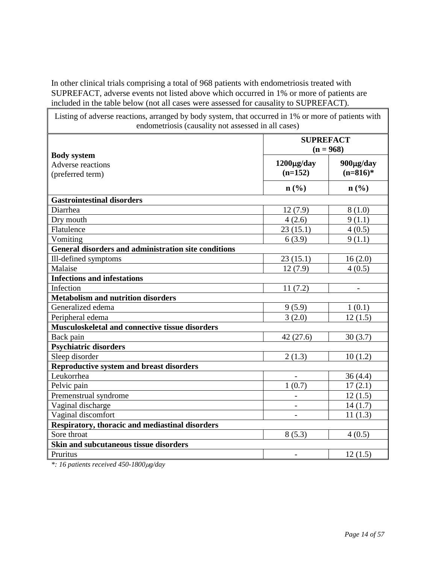In other clinical trials comprising a total of 968 patients with endometriosis treated with SUPREFACT, adverse events not listed above which occurred in 1% or more of patients are included in the table below (not all cases were assessed for causality to SUPREFACT).

| Listing of adverse reactions, arranged by body system, that occurred in 1% or more of patients with<br>endometriosis (causality not assessed in all cases) |                                    |                              |  |
|------------------------------------------------------------------------------------------------------------------------------------------------------------|------------------------------------|------------------------------|--|
|                                                                                                                                                            | <b>SUPREFACT</b><br>$(n = 968)$    |                              |  |
| <b>Body system</b><br>Adverse reactions<br>(preferred term)                                                                                                | $1200\mu\text{g/day}$<br>$(n=152)$ | $900\mu g/day$<br>$(n=816)*$ |  |
|                                                                                                                                                            | $n\left(\frac{0}{0}\right)$        | $n\left(\frac{0}{0}\right)$  |  |
| <b>Gastrointestinal disorders</b>                                                                                                                          |                                    |                              |  |
| Diarrhea                                                                                                                                                   | 12(7.9)                            | 8(1.0)                       |  |
| Dry mouth                                                                                                                                                  | 4(2.6)                             | 9(1.1)                       |  |
| Flatulence                                                                                                                                                 | 23(15.1)                           | 4(0.5)                       |  |
| Vomiting                                                                                                                                                   | 6(3.9)                             | 9(1.1)                       |  |
| General disorders and administration site conditions                                                                                                       |                                    |                              |  |
| Ill-defined symptoms                                                                                                                                       | 23(15.1)                           | 16(2.0)                      |  |
| Malaise                                                                                                                                                    | 12(7.9)                            | 4(0.5)                       |  |
| <b>Infections and infestations</b>                                                                                                                         |                                    |                              |  |
| Infection                                                                                                                                                  | 11(7.2)                            |                              |  |
| <b>Metabolism and nutrition disorders</b>                                                                                                                  |                                    |                              |  |
| Generalized edema                                                                                                                                          | 9(5.9)                             | 1(0.1)                       |  |
| Peripheral edema                                                                                                                                           | 3(2.0)                             | 12(1.5)                      |  |
| Musculoskeletal and connective tissue disorders                                                                                                            |                                    |                              |  |
| Back pain                                                                                                                                                  | 42(27.6)                           | 30(3.7)                      |  |
| <b>Psychiatric disorders</b>                                                                                                                               |                                    |                              |  |
| Sleep disorder                                                                                                                                             | 2(1.3)                             | 10(1.2)                      |  |
| Reproductive system and breast disorders                                                                                                                   |                                    |                              |  |
| Leukorrhea                                                                                                                                                 |                                    | 36(4.4)                      |  |
| Pelvic pain                                                                                                                                                | 1(0.7)                             | 17(2.1)                      |  |
| Premenstrual syndrome                                                                                                                                      |                                    | 12(1.5)                      |  |
| Vaginal discharge                                                                                                                                          | $\blacksquare$                     | 14(1.7)                      |  |
| Vaginal discomfort                                                                                                                                         | $\overline{\phantom{0}}$           | 11(1.3)                      |  |
| Respiratory, thoracic and mediastinal disorders                                                                                                            |                                    |                              |  |
| Sore throat                                                                                                                                                | 8(5.3)                             | 4(0.5)                       |  |
| Skin and subcutaneous tissue disorders                                                                                                                     |                                    |                              |  |
| Pruritus                                                                                                                                                   | $\overline{a}$                     | 12(1.5)                      |  |

*\*: 16 patients received 450-1800*µ*g/day*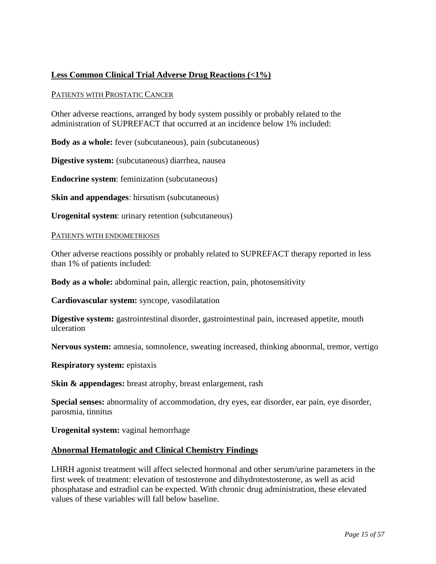# **Less Common Clinical Trial Adverse Drug Reactions (<1%)**

#### PATIENTS WITH PROSTATIC CANCER

Other adverse reactions, arranged by body system possibly or probably related to the administration of SUPREFACT that occurred at an incidence below 1% included:

**Body as a whole:** fever (subcutaneous), pain (subcutaneous)

**Digestive system:** (subcutaneous) diarrhea, nausea

**Endocrine system**: feminization (subcutaneous)

**Skin and appendages**: hirsutism (subcutaneous)

**Urogenital system**: urinary retention (subcutaneous)

#### PATIENTS WITH ENDOMETRIOSIS

Other adverse reactions possibly or probably related to SUPREFACT therapy reported in less than 1% of patients included:

**Body as a whole:** abdominal pain, allergic reaction, pain, photosensitivity

**Cardiovascular system:** syncope, vasodilatation

**Digestive system:** gastrointestinal disorder, gastrointestinal pain, increased appetite, mouth ulceration

**Nervous system:** amnesia, somnolence, sweating increased, thinking abnormal, tremor, vertigo

**Respiratory system:** epistaxis

**Skin & appendages:** breast atrophy, breast enlargement, rash

**Special senses:** abnormality of accommodation, dry eyes, ear disorder, ear pain, eye disorder, parosmia, tinnitus

**Urogenital system:** vaginal hemorrhage

#### **Abnormal Hematologic and Clinical Chemistry Findings**

LHRH agonist treatment will affect selected hormonal and other serum/urine parameters in the first week of treatment: elevation of testosterone and dihydrotestosterone, as well as acid phosphatase and estradiol can be expected. With chronic drug administration, these elevated values of these variables will fall below baseline.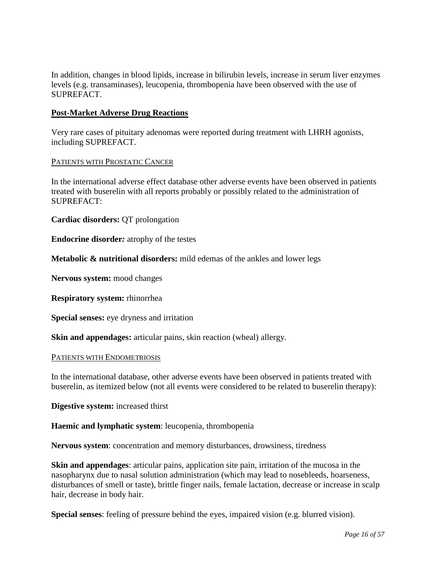In addition, changes in blood lipids, increase in bilirubin levels, increase in serum liver enzymes levels (e.g. transaminases), leucopenia, thrombopenia have been observed with the use of SUPREFACT.

## **Post-Market Adverse Drug Reactions**

Very rare cases of pituitary adenomas were reported during treatment with LHRH agonists, including SUPREFACT.

### PATIENTS WITH PROSTATIC CANCER

In the international adverse effect database other adverse events have been observed in patients treated with buserelin with all reports probably or possibly related to the administration of SUPREFACT:

**Cardiac disorders:** QT prolongation

**Endocrine disorder***:* atrophy of the testes

**Metabolic & nutritional disorders:** mild edemas of the ankles and lower legs

**Nervous system:** mood changes

**Respiratory system:** rhinorrhea

**Special senses:** eye dryness and irritation

**Skin and appendages:** articular pains, skin reaction (wheal) allergy.

#### PATIENTS WITH ENDOMETRIOSIS

In the international database, other adverse events have been observed in patients treated with buserelin, as itemized below (not all events were considered to be related to buserelin therapy):

**Digestive system:** increased thirst

#### **Haemic and lymphatic system**: leucopenia, thrombopenia

**Nervous system**: concentration and memory disturbances, drowsiness, tiredness

**Skin and appendages**: articular pains, application site pain, irritation of the mucosa in the nasopharynx due to nasal solution administration (which may lead to nosebleeds, hoarseness, disturbances of smell or taste), brittle finger nails, female lactation, decrease or increase in scalp hair, decrease in body hair.

**Special senses**: feeling of pressure behind the eyes, impaired vision (e.g. blurred vision).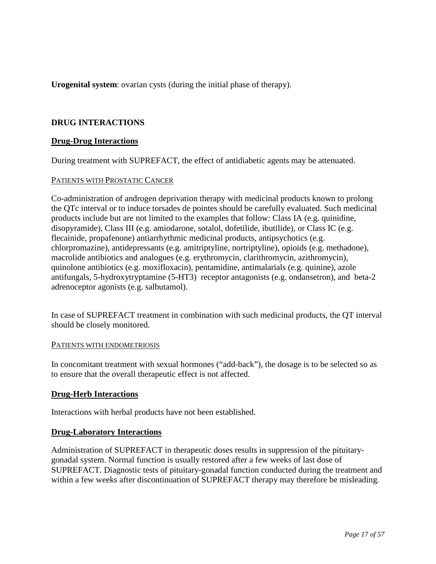**Urogenital system**: ovarian cysts (during the initial phase of therapy).

# <span id="page-16-0"></span>**DRUG INTERACTIONS**

## **Drug-Drug Interactions**

During treatment with SUPREFACT, the effect of antidiabetic agents may be attenuated.

### PATIENTS WITH PROSTATIC CANCER

Co-administration of androgen deprivation therapy with medicinal products known to prolong the QTc interval or to induce torsades de pointes should be carefully evaluated. Such medicinal products include but are not limited to the examples that follow: Class IA (e.g. quinidine, disopyramide), Class III (e.g. amiodarone, sotalol, dofetilide, ibutilide), or Class IC (e.g. flecainide, propafenone) antiarrhythmic medicinal products, antipsychotics (e.g. chlorpromazine), antidepressants (e.g. amitriptyline, nortriptyline), opioids (e.g. methadone), macrolide antibiotics and analogues (e.g. erythromycin, clarithromycin, azithromycin), quinolone antibiotics (e.g. moxifloxacin), pentamidine, antimalarials (e.g. quinine), azole antifungals, 5-hydroxytryptamine (5-HT3) receptor antagonists (e.g. ondansetron), and beta-2 adrenoceptor agonists (e.g. salbutamol).

In case of SUPREFACT treatment in combination with such medicinal products, the QT interval should be closely monitored.

#### PATIENTS WITH ENDOMETRIOSIS

In concomitant treatment with sexual hormones ("add-back"), the dosage is to be selected so as to ensure that the overall therapeutic effect is not affected.

## **Drug-Herb Interactions**

Interactions with herbal products have not been established.

## **Drug-Laboratory Interactions**

Administration of SUPREFACT in therapeutic doses results in suppression of the pituitarygonadal system. Normal function is usually restored after a few weeks of last dose of SUPREFACT. Diagnostic tests of pituitary-gonadal function conducted during the treatment and within a few weeks after discontinuation of SUPREFACT therapy may therefore be misleading.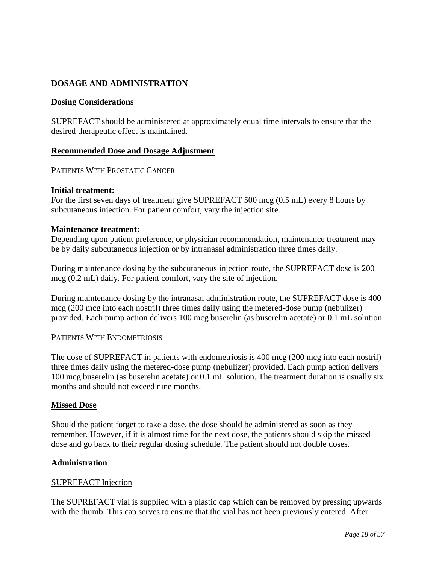# <span id="page-17-0"></span>**DOSAGE AND ADMINISTRATION**

## **Dosing Considerations**

SUPREFACT should be administered at approximately equal time intervals to ensure that the desired therapeutic effect is maintained.

# **Recommended Dose and Dosage Adjustment**

# PATIENTS WITH PROSTATIC CANCER

## **Initial treatment:**

For the first seven days of treatment give SUPREFACT 500 mcg (0.5 mL) every 8 hours by subcutaneous injection. For patient comfort, vary the injection site.

## **Maintenance treatment:**

Depending upon patient preference, or physician recommendation, maintenance treatment may be by daily subcutaneous injection or by intranasal administration three times daily.

During maintenance dosing by the subcutaneous injection route, the SUPREFACT dose is 200 mcg (0.2 mL) daily. For patient comfort, vary the site of injection.

During maintenance dosing by the intranasal administration route, the SUPREFACT dose is 400 mcg (200 mcg into each nostril) three times daily using the metered-dose pump (nebulizer) provided. Each pump action delivers 100 mcg buserelin (as buserelin acetate) or 0.1 mL solution.

## PATIENTS WITH ENDOMETRIOSIS

The dose of SUPREFACT in patients with endometriosis is 400 mcg (200 mcg into each nostril) three times daily using the metered-dose pump (nebulizer) provided. Each pump action delivers 100 mcg buserelin (as buserelin acetate) or 0.1 mL solution. The treatment duration is usually six months and should not exceed nine months.

## **Missed Dose**

Should the patient forget to take a dose, the dose should be administered as soon as they remember. However, if it is almost time for the next dose, the patients should skip the missed dose and go back to their regular dosing schedule. The patient should not double doses.

## **Administration**

## SUPREFACT Injection

The SUPREFACT vial is supplied with a plastic cap which can be removed by pressing upwards with the thumb. This cap serves to ensure that the vial has not been previously entered. After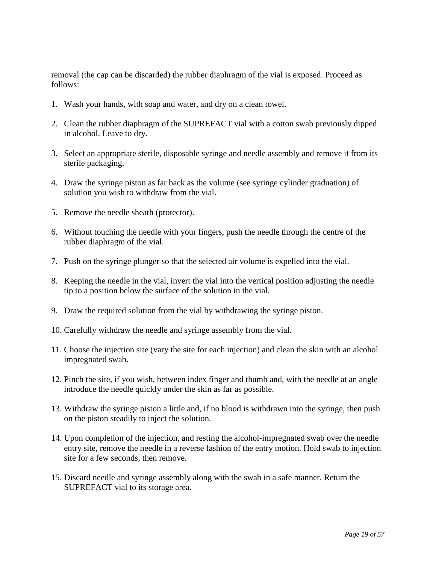removal (the cap can be discarded) the rubber diaphragm of the vial is exposed. Proceed as follows:

- 1. Wash your hands, with soap and water, and dry on a clean towel.
- 2. Clean the rubber diaphragm of the SUPREFACT vial with a cotton swab previously dipped in alcohol. Leave to dry.
- 3. Select an appropriate sterile, disposable syringe and needle assembly and remove it from its sterile packaging.
- 4. Draw the syringe piston as far back as the volume (see syringe cylinder graduation) of solution you wish to withdraw from the vial.
- 5. Remove the needle sheath (protector).
- 6. Without touching the needle with your fingers, push the needle through the centre of the rubber diaphragm of the vial.
- 7. Push on the syringe plunger so that the selected air volume is expelled into the vial.
- 8. Keeping the needle in the vial, invert the vial into the vertical position adjusting the needle tip to a position below the surface of the solution in the vial.
- 9. Draw the required solution from the vial by withdrawing the syringe piston.
- 10. Carefully withdraw the needle and syringe assembly from the vial.
- 11. Choose the injection site (vary the site for each injection) and clean the skin with an alcohol impregnated swab.
- 12. Pinch the site, if you wish, between index finger and thumb and, with the needle at an angle introduce the needle quickly under the skin as far as possible.
- 13. Withdraw the syringe piston a little and, if no blood is withdrawn into the syringe, then push on the piston steadily to inject the solution.
- 14. Upon completion of the injection, and resting the alcohol-impregnated swab over the needle entry site, remove the needle in a reverse fashion of the entry motion. Hold swab to injection site for a few seconds, then remove.
- 15. Discard needle and syringe assembly along with the swab in a safe manner. Return the SUPREFACT vial to its storage area.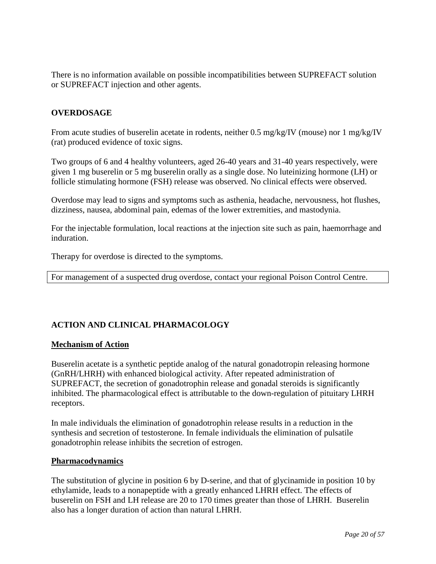There is no information available on possible incompatibilities between SUPREFACT solution or SUPREFACT injection and other agents.

# <span id="page-19-0"></span>**OVERDOSAGE**

From acute studies of buserelin acetate in rodents, neither 0.5 mg/kg/IV (mouse) nor 1 mg/kg/IV (rat) produced evidence of toxic signs.

Two groups of 6 and 4 healthy volunteers, aged 26-40 years and 31-40 years respectively, were given 1 mg buserelin or 5 mg buserelin orally as a single dose. No luteinizing hormone (LH) or follicle stimulating hormone (FSH) release was observed. No clinical effects were observed.

Overdose may lead to signs and symptoms such as asthenia, headache, nervousness, hot flushes, dizziness, nausea, abdominal pain, edemas of the lower extremities, and mastodynia.

For the injectable formulation, local reactions at the injection site such as pain, haemorrhage and induration.

Therapy for overdose is directed to the symptoms.

For management of a suspected drug overdose, contact your regional Poison Control Centre.

# <span id="page-19-1"></span>**ACTION AND CLINICAL PHARMACOLOGY**

## **Mechanism of Action**

Buserelin acetate is a synthetic peptide analog of the natural gonadotropin releasing hormone (GnRH/LHRH) with enhanced biological activity. After repeated administration of SUPREFACT, the secretion of gonadotrophin release and gonadal steroids is significantly inhibited. The pharmacological effect is attributable to the down-regulation of pituitary LHRH receptors.

In male individuals the elimination of gonadotrophin release results in a reduction in the synthesis and secretion of testosterone. In female individuals the elimination of pulsatile gonadotrophin release inhibits the secretion of estrogen.

#### **Pharmacodynamics**

The substitution of glycine in position 6 by D-serine, and that of glycinamide in position 10 by ethylamide, leads to a nonapeptide with a greatly enhanced LHRH effect. The effects of buserelin on FSH and LH release are 20 to 170 times greater than those of LHRH. Buserelin also has a longer duration of action than natural LHRH.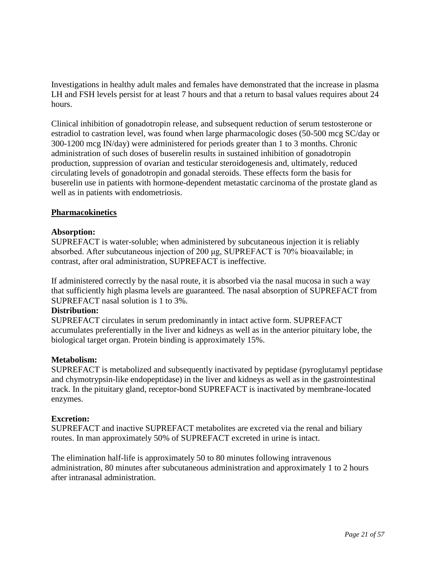Investigations in healthy adult males and females have demonstrated that the increase in plasma LH and FSH levels persist for at least 7 hours and that a return to basal values requires about 24 hours.

Clinical inhibition of gonadotropin release, and subsequent reduction of serum testosterone or estradiol to castration level, was found when large pharmacologic doses (50-500 mcg SC/day or 300-1200 mcg IN/day) were administered for periods greater than 1 to 3 months. Chronic administration of such doses of buserelin results in sustained inhibition of gonadotropin production, suppression of ovarian and testicular steroidogenesis and, ultimately, reduced circulating levels of gonadotropin and gonadal steroids. These effects form the basis for buserelin use in patients with hormone-dependent metastatic carcinoma of the prostate gland as well as in patients with endometriosis.

## **Pharmacokinetics**

### **Absorption:**

SUPREFACT is water-soluble; when administered by subcutaneous injection it is reliably absorbed. After subcutaneous injection of 200 μg, SUPREFACT is 70% bioavailable; in contrast, after oral administration, SUPREFACT is ineffective.

If administered correctly by the nasal route, it is absorbed via the nasal mucosa in such a way that sufficiently high plasma levels are guaranteed. The nasal absorption of SUPREFACT from SUPREFACT nasal solution is 1 to 3%.

#### **Distribution:**

SUPREFACT circulates in serum predominantly in intact active form. SUPREFACT accumulates preferentially in the liver and kidneys as well as in the anterior pituitary lobe, the biological target organ. Protein binding is approximately 15%.

## **Metabolism:**

SUPREFACT is metabolized and subsequently inactivated by peptidase (pyroglutamyl peptidase and chymotrypsin-like endopeptidase) in the liver and kidneys as well as in the gastrointestinal track. In the pituitary gland, receptor-bond SUPREFACT is inactivated by membrane-located enzymes.

## **Excretion:**

SUPREFACT and inactive SUPREFACT metabolites are excreted via the renal and biliary routes. In man approximately 50% of SUPREFACT excreted in urine is intact.

The elimination half-life is approximately 50 to 80 minutes following intravenous administration, 80 minutes after subcutaneous administration and approximately 1 to 2 hours after intranasal administration.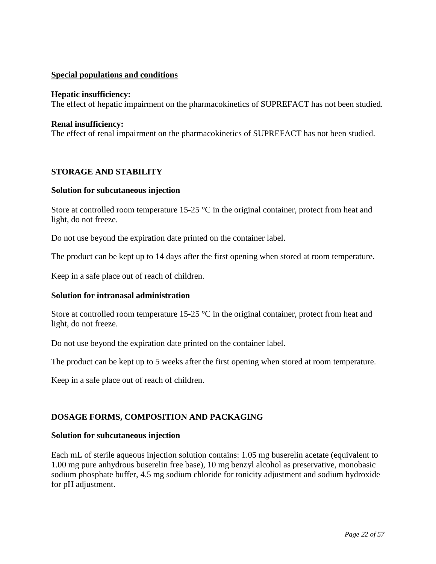## **Special populations and conditions**

#### **Hepatic insufficiency:**

The effect of hepatic impairment on the pharmacokinetics of SUPREFACT has not been studied.

### **Renal insufficiency:**

The effect of renal impairment on the pharmacokinetics of SUPREFACT has not been studied.

## <span id="page-21-0"></span>**STORAGE AND STABILITY**

#### **Solution for subcutaneous injection**

Store at controlled room temperature 15-25 °C in the original container, protect from heat and light, do not freeze.

Do not use beyond the expiration date printed on the container label.

The product can be kept up to 14 days after the first opening when stored at room temperature.

Keep in a safe place out of reach of children.

## **Solution for intranasal administration**

Store at controlled room temperature 15-25 °C in the original container, protect from heat and light, do not freeze.

Do not use beyond the expiration date printed on the container label.

The product can be kept up to 5 weeks after the first opening when stored at room temperature.

Keep in a safe place out of reach of children.

# <span id="page-21-1"></span>**DOSAGE FORMS, COMPOSITION AND PACKAGING**

#### **Solution for subcutaneous injection**

Each mL of sterile aqueous injection solution contains: 1.05 mg buserelin acetate (equivalent to 1.00 mg pure anhydrous buserelin free base), 10 mg benzyl alcohol as preservative, monobasic sodium phosphate buffer, 4.5 mg sodium chloride for tonicity adjustment and sodium hydroxide for pH adjustment.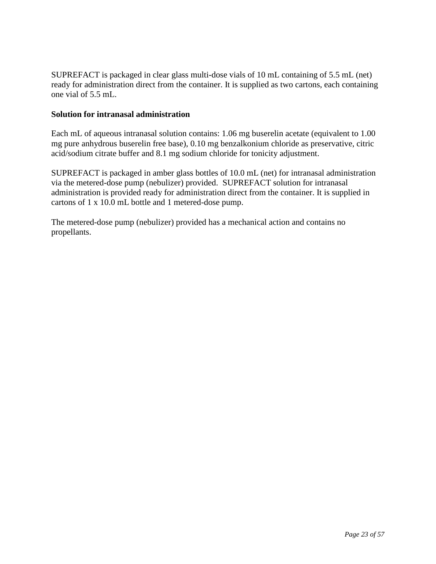SUPREFACT is packaged in clear glass multi-dose vials of 10 mL containing of 5.5 mL (net) ready for administration direct from the container. It is supplied as two cartons, each containing one vial of 5.5 mL.

## **Solution for intranasal administration**

Each mL of aqueous intranasal solution contains: 1.06 mg buserelin acetate (equivalent to 1.00 mg pure anhydrous buserelin free base), 0.10 mg benzalkonium chloride as preservative, citric acid/sodium citrate buffer and 8.1 mg sodium chloride for tonicity adjustment.

SUPREFACT is packaged in amber glass bottles of 10.0 mL (net) for intranasal administration via the metered-dose pump (nebulizer) provided. SUPREFACT solution for intranasal administration is provided ready for administration direct from the container. It is supplied in cartons of 1 x 10.0 mL bottle and 1 metered-dose pump.

The metered-dose pump (nebulizer) provided has a mechanical action and contains no propellants.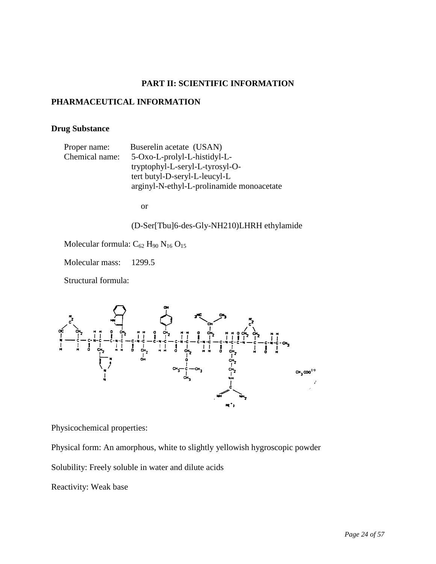# **PART II: SCIENTIFIC INFORMATION**

## <span id="page-23-1"></span><span id="page-23-0"></span>**PHARMACEUTICAL INFORMATION**

# **Drug Substance**

| Proper name:  |  |
|---------------|--|
| Chemical name |  |

Buserelin acetate (USAN)  $\therefore$  5-Oxo-L-prolyl-L-histidyl-Ltryptophyl-L-seryl-L-tyrosyl-Otert butyl-D-seryl-L-leucyl-L arginyl-N-ethyl-L-prolinamide monoacetate

or

# (D-Ser[Tbu]6-des-Gly-NH210)LHRH ethylamide

Molecular formula:  $C_{62}$  H<sub>90</sub> N<sub>16</sub> O<sub>15</sub>

Molecular mass: 1299.5

Structural formula:



Physicochemical properties:

Physical form: An amorphous, white to slightly yellowish hygroscopic powder

Solubility: Freely soluble in water and dilute acids

Reactivity: Weak base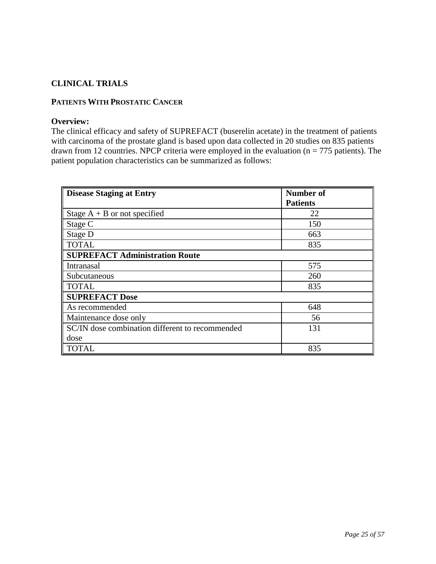# <span id="page-24-0"></span>**CLINICAL TRIALS**

## **PATIENTS WITH PROSTATIC CANCER**

### **Overview:**

The clinical efficacy and safety of SUPREFACT (buserelin acetate) in the treatment of patients with carcinoma of the prostate gland is based upon data collected in 20 studies on 835 patients drawn from 12 countries. NPCP criteria were employed in the evaluation ( $n = 775$  patients). The patient population characteristics can be summarized as follows:

| <b>Disease Staging at Entry</b>                 | <b>Number of</b> |
|-------------------------------------------------|------------------|
|                                                 | <b>Patients</b>  |
| Stage $A + B$ or not specified                  | 22               |
| Stage C                                         | 150              |
| Stage D                                         | 663              |
| <b>TOTAL</b>                                    | 835              |
| <b>SUPREFACT Administration Route</b>           |                  |
| Intranasal                                      | 575              |
| Subcutaneous                                    | 260              |
| <b>TOTAL</b>                                    | 835              |
| <b>SUPREFACT Dose</b>                           |                  |
| As recommended                                  | 648              |
| Maintenance dose only                           | 56               |
| SC/IN dose combination different to recommended | 131              |
| dose                                            |                  |
| <b>TOTAL</b>                                    | 835              |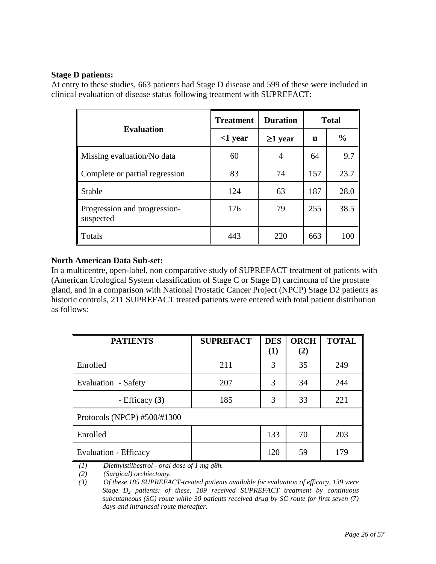## **Stage D patients:**

At entry to these studies, 663 patients had Stage D disease and 599 of these were included in clinical evaluation of disease status following treatment with SUPREFACT:

|                                           | <b>Treatment</b> | <b>Duration</b> | <b>Total</b> |               |
|-------------------------------------------|------------------|-----------------|--------------|---------------|
| <b>Evaluation</b>                         | $<$ 1 year       | $\geq$ 1 year   | n            | $\frac{6}{6}$ |
| Missing evaluation/No data                | 60               | 4               | 64           | 9.7           |
| Complete or partial regression            | 83               | 74              | 157          | 23.7          |
| Stable                                    | 124              | 63              | 187          | 28.0          |
| Progression and progression-<br>suspected | 176              | 79              | 255          | 38.5          |
| Totals                                    | 443              | 220             | 663          | 100           |

# **North American Data Sub-set:**

In a multicentre, open-label, non comparative study of SUPREFACT treatment of patients with (American Urological System classification of Stage C or Stage D) carcinoma of the prostate gland, and in a comparison with National Prostatic Cancer Project (NPCP) Stage D2 patients as historic controls, 211 SUPREFACT treated patients were entered with total patient distribution as follows:

| <b>PATIENTS</b>              | <b>SUPREFACT</b> | <b>DES</b><br>(1) | <b>ORCH</b><br>(2) | <b>TOTAL</b> |
|------------------------------|------------------|-------------------|--------------------|--------------|
| Enrolled                     | 211              | 3                 | 35                 | 249          |
| Evaluation - Safety          | 207              | 3                 | 34                 | 244          |
| - Efficacy $(3)$             | 185              | 3                 | 33                 | 221          |
| Protocols (NPCP) #500/#1300  |                  |                   |                    |              |
| Enrolled                     |                  | 133               | 70                 | 203          |
| <b>Evaluation - Efficacy</b> |                  | 120               | 59                 | 179          |

*(1) Diethylstilbestrol - oral dose of 1 mg q8h.*

*(2) (Surgical) orchiectomy.*

 *<sup>(3)</sup> Of these 185 SUPREFACT-treated patients available for evaluation of efficacy, 139 were Stage D2 patients: of these, 109 received SUPREFACT treatment by continuous subcutaneous (SC) route while 30 patients received drug by SC route for first seven (7) days and intranasal route thereafter.*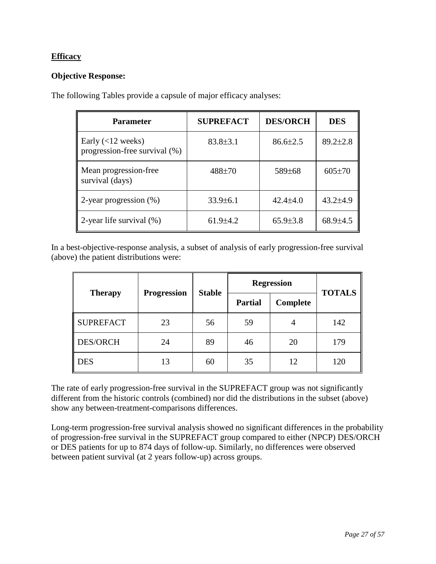# **Efficacy**

## **Objective Response:**

The following Tables provide a capsule of major efficacy analyses:

| <b>Parameter</b>                                     | <b>SUPREFACT</b> | <b>DES/ORCH</b> | <b>DES</b>     |
|------------------------------------------------------|------------------|-----------------|----------------|
| Early $(<12$ weeks)<br>progression-free survival (%) | $83.8 \pm 3.1$   | $86.6{\pm}2.5$  | $89.2 \pm 2.8$ |
| Mean progression-free<br>survival (days)             | $488 + 70$       | 589±68          | $605 \pm 70$   |
| 2-year progression (%)                               | $33.9 \pm 6.1$   | $42.4 \pm 4.0$  | $43.2{\pm}4.9$ |
| 2-year life survival $(\%)$                          | $61.9{\pm}4.2$   | $65.9{\pm}3.8$  | $68.9{\pm}4.5$ |

In a best-objective-response analysis, a subset of analysis of early progression-free survival (above) the patient distributions were:

|                  |                    | <b>Stable</b> |                | <b>Regression</b> | <b>TOTALS</b> |  |
|------------------|--------------------|---------------|----------------|-------------------|---------------|--|
| <b>Therapy</b>   | <b>Progression</b> |               | <b>Partial</b> | Complete          |               |  |
| <b>SUPREFACT</b> | 23                 | 56            | 59             | 4                 | 142           |  |
| DES/ORCH         | 24                 | 89            | 46             | 20                | 179           |  |
| <b>DES</b>       | 13                 | 60            | 35             | 12                | 120           |  |

The rate of early progression-free survival in the SUPREFACT group was not significantly different from the historic controls (combined) nor did the distributions in the subset (above) show any between-treatment-comparisons differences.

Long-term progression-free survival analysis showed no significant differences in the probability of progression-free survival in the SUPREFACT group compared to either (NPCP) DES/ORCH or DES patients for up to 874 days of follow-up. Similarly, no differences were observed between patient survival (at 2 years follow-up) across groups.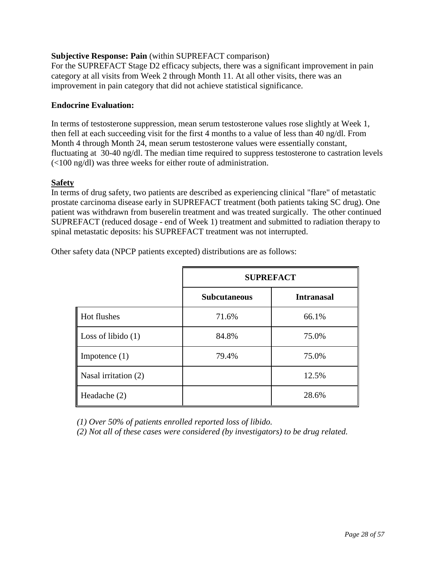# **Subjective Response: Pain** (within SUPREFACT comparison)

For the SUPREFACT Stage D2 efficacy subjects, there was a significant improvement in pain category at all visits from Week 2 through Month 11. At all other visits, there was an improvement in pain category that did not achieve statistical significance.

# **Endocrine Evaluation:**

In terms of testosterone suppression, mean serum testosterone values rose slightly at Week 1, then fell at each succeeding visit for the first 4 months to a value of less than 40 ng/dl. From Month 4 through Month 24, mean serum testosterone values were essentially constant, fluctuating at 30-40 ng/dl. The median time required to suppress testosterone to castration levels (<100 ng/dl) was three weeks for either route of administration.

## **Safety**

In terms of drug safety, two patients are described as experiencing clinical "flare" of metastatic prostate carcinoma disease early in SUPREFACT treatment (both patients taking SC drug). One patient was withdrawn from buserelin treatment and was treated surgically. The other continued SUPREFACT (reduced dosage - end of Week 1) treatment and submitted to radiation therapy to spinal metastatic deposits: his SUPREFACT treatment was not interrupted.

|                      | <b>SUPREFACT</b>    |                   |  |
|----------------------|---------------------|-------------------|--|
|                      | <b>Subcutaneous</b> | <b>Intranasal</b> |  |
| Hot flushes          | 71.6%               | 66.1%             |  |
| Loss of libido $(1)$ | 84.8%               | 75.0%             |  |
| Impotence $(1)$      | 79.4%               | 75.0%             |  |
| Nasal irritation (2) |                     | 12.5%             |  |
| Headache (2)         |                     | 28.6%             |  |

Other safety data (NPCP patients excepted) distributions are as follows:

*(1) Over 50% of patients enrolled reported loss of libido.*

 *(2) Not all of these cases were considered (by investigators) to be drug related.*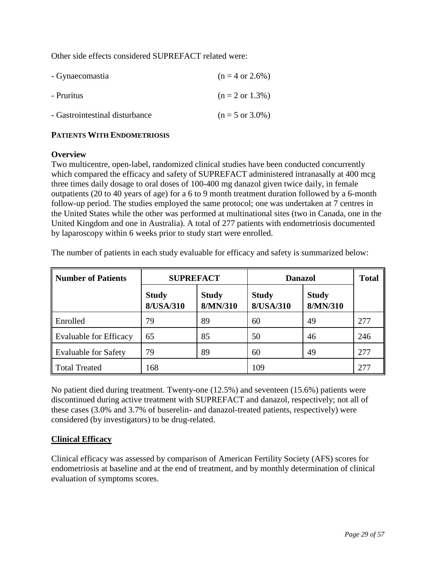Other side effects considered SUPREFACT related were:

| - Gynaecomastia                | $(n = 4 \text{ or } 2.6\%)$ |
|--------------------------------|-----------------------------|
| - Pruritus                     | $(n = 2 \text{ or } 1.3\%)$ |
| - Gastrointestinal disturbance | $(n = 5 \text{ or } 3.0\%)$ |

# **PATIENTS WITH ENDOMETRIOSIS**

### **Overview**

Two multicentre, open-label, randomized clinical studies have been conducted concurrently which compared the efficacy and safety of SUPREFACT administered intranasally at 400 mcg three times daily dosage to oral doses of 100-400 mg danazol given twice daily, in female outpatients (20 to 40 years of age) for a 6 to 9 month treatment duration followed by a 6-month follow-up period. The studies employed the same protocol; one was undertaken at 7 centres in the United States while the other was performed at multinational sites (two in Canada, one in the United Kingdom and one in Australia). A total of 277 patients with endometriosis documented by laparoscopy within 6 weeks prior to study start were enrolled.

| <b>Number of Patients</b>     | <b>SUPREFACT</b>          |                          | <b>Danazol</b>            | <b>Total</b>             |     |
|-------------------------------|---------------------------|--------------------------|---------------------------|--------------------------|-----|
|                               | <b>Study</b><br>8/USA/310 | <b>Study</b><br>8/MN/310 | <b>Study</b><br>8/USA/310 | <b>Study</b><br>8/MN/310 |     |
| Enrolled                      | 79                        | 89                       | 60                        | 49                       | 277 |
| <b>Evaluable for Efficacy</b> | 65                        | 85                       | 50                        | 46                       | 246 |
| <b>Evaluable for Safety</b>   | 79                        | 89                       | 60                        | 49                       | 277 |
| <b>Total Treated</b>          | 168                       |                          | 109                       |                          | 277 |

The number of patients in each study evaluable for efficacy and safety is summarized below:

No patient died during treatment. Twenty-one (12.5%) and seventeen (15.6%) patients were discontinued during active treatment with SUPREFACT and danazol, respectively; not all of these cases (3.0% and 3.7% of buserelin- and danazol-treated patients, respectively) were considered (by investigators) to be drug-related.

## **Clinical Efficacy**

Clinical efficacy was assessed by comparison of American Fertility Society (AFS) scores for endometriosis at baseline and at the end of treatment, and by monthly determination of clinical evaluation of symptoms scores.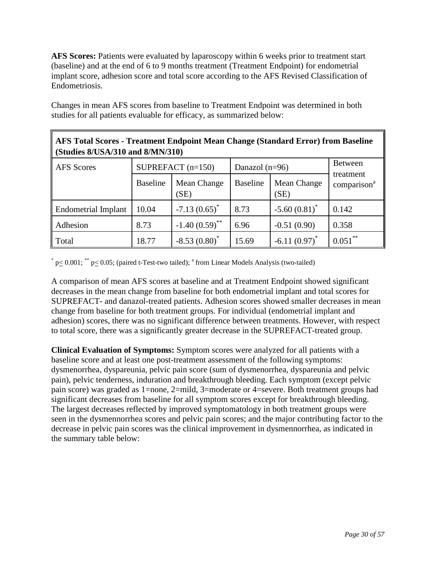**AFS Scores:** Patients were evaluated by laparoscopy within 6 weeks prior to treatment start (baseline) and at the end of 6 to 9 months treatment (Treatment Endpoint) for endometrial implant score, adhesion score and total score according to the AFS Revised Classification of Endometriosis.

Changes in mean AFS scores from baseline to Treatment Endpoint was determined in both studies for all patients evaluable for efficacy, as summarized below:

| <b>AFS Total Scores - Treatment Endpoint Mean Change (Standard Error) from Baseline</b><br>(Studies 8/USA/310 and 8/MN/310) |                 |                                         |                 |                     |                                      |  |
|-----------------------------------------------------------------------------------------------------------------------------|-----------------|-----------------------------------------|-----------------|---------------------|--------------------------------------|--|
| <b>AFS</b> Scores                                                                                                           |                 | SUPREFACT $(n=150)$<br>Danazol $(n=96)$ |                 |                     |                                      |  |
|                                                                                                                             | <b>Baseline</b> | Mean Change<br>(SE)                     | <b>Baseline</b> | Mean Change<br>(SE) | treatment<br>comparison <sup>a</sup> |  |
| <b>Endometrial Implant</b>                                                                                                  | 10.04           | $-7.13(0.65)^{*}$                       | 8.73            | $-5.60(0.81)$ *     | 0.142                                |  |
| Adhesion                                                                                                                    | 8.73            | $-1.40(0.59)$ <sup>**</sup>             | 6.96            | $-0.51(0.90)$       | 0.358                                |  |
| Total                                                                                                                       | 18.77           | $-8.53(0.80)^*$                         | 15.69           | $-6.11(0.97)^*$     | $0.051***$                           |  |

 $*$  p $\leq$  0.001;  $*$  p $\leq$  0.05; (paired t-Test-two tailed); <sup>a</sup> from Linear Models Analysis (two-tailed)

A comparison of mean AFS scores at baseline and at Treatment Endpoint showed significant decreases in the mean change from baseline for both endometrial implant and total scores for SUPREFACT- and danazol-treated patients. Adhesion scores showed smaller decreases in mean change from baseline for both treatment groups. For individual (endometrial implant and adhesion) scores, there was no significant difference between treatments. However, with respect to total score, there was a significantly greater decrease in the SUPREFACT-treated group.

**Clinical Evaluation of Symptoms:** Symptom scores were analyzed for all patients with a baseline score and at least one post-treatment assessment of the following symptoms: dysmenorrhea, dyspareunia, pelvic pain score (sum of dysmenorrhea, dyspareunia and pelvic pain), pelvic tenderness, induration and breakthrough bleeding. Each symptom (except pelvic pain score) was graded as 1=none, 2=mild, 3=moderate or 4=severe. Both treatment groups had significant decreases from baseline for all symptom scores except for breakthrough bleeding. The largest decreases reflected by improved symptomatology in both treatment groups were seen in the dysmennorrhea scores and pelvic pain scores; and the major contributing factor to the decrease in pelvic pain scores was the clinical improvement in dysmennorrhea, as indicated in the summary table below: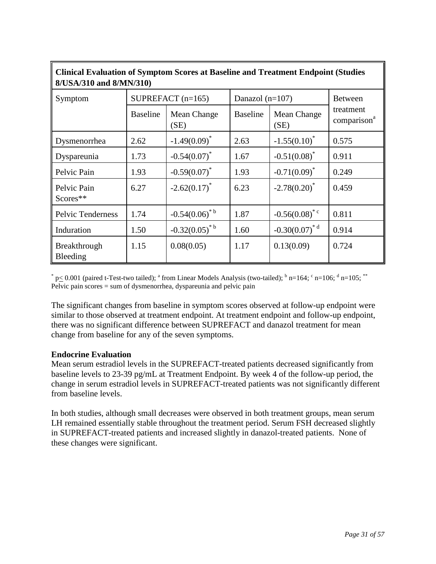| 8/USA/310 and 8/MN/310)         |                     |                     |                   |                              |                                      |  |
|---------------------------------|---------------------|---------------------|-------------------|------------------------------|--------------------------------------|--|
| Symptom                         | SUPREFACT $(n=165)$ |                     | Danazol $(n=107)$ |                              | <b>Between</b>                       |  |
|                                 | <b>Baseline</b>     | Mean Change<br>(SE) | <b>Baseline</b>   | Mean Change<br>(SE)          | treatment<br>comparison <sup>a</sup> |  |
| Dysmenorrhea                    | 2.62                | $-1.49(0.09)^{*}$   | 2.63              | $-1.55(0.10)^*$              | 0.575                                |  |
| Dyspareunia                     | 1.73                | $-0.54(0.07)^*$     | 1.67              | $-0.51(0.08)^*$              | 0.911                                |  |
| Pelvic Pain                     | 1.93                | $-0.59(0.07)^*$     | 1.93              | $-0.71(0.09)^*$              | 0.249                                |  |
| Pelvic Pain<br>Scores**         | 6.27                | $-2.62(0.17)^*$     | 6.23              | $-2.78(0.20)^*$              | 0.459                                |  |
| Pelvic Tenderness               | 1.74                | $-0.54(0.06)^{*b}$  | 1.87              | $-0.56(0.08)^{*c}$           | 0.811                                |  |
| Induration                      | 1.50                | $-0.32(0.05)^{b}$   | 1.60              | $-0.30(0.07)^*$ <sup>d</sup> | 0.914                                |  |
| <b>Breakthrough</b><br>Bleeding | 1.15                | 0.08(0.05)          | 1.17              | 0.13(0.09)                   | 0.724                                |  |

**Clinical Evaluation of Symptom Scores at Baseline and Treatment Endpoint (Studies** 

 $*$  p $\leq$  0.001 (paired t-Test-two tailed); <sup>a</sup> from Linear Models Analysis (two-tailed); <sup>b</sup> n=164; <sup>c</sup> n=106; <sup>d</sup> n=105; <sup>\*\*</sup> Pelvic pain scores = sum of dysmenorrhea, dyspareunia and pelvic pain

The significant changes from baseline in symptom scores observed at follow-up endpoint were similar to those observed at treatment endpoint. At treatment endpoint and follow-up endpoint, there was no significant difference between SUPREFACT and danazol treatment for mean change from baseline for any of the seven symptoms.

## **Endocrine Evaluation**

Mean serum estradiol levels in the SUPREFACT-treated patients decreased significantly from baseline levels to 23-39 pg/mL at Treatment Endpoint. By week 4 of the follow-up period, the change in serum estradiol levels in SUPREFACT-treated patients was not significantly different from baseline levels.

In both studies, although small decreases were observed in both treatment groups, mean serum LH remained essentially stable throughout the treatment period. Serum FSH decreased slightly in SUPREFACT-treated patients and increased slightly in danazol-treated patients. None of these changes were significant.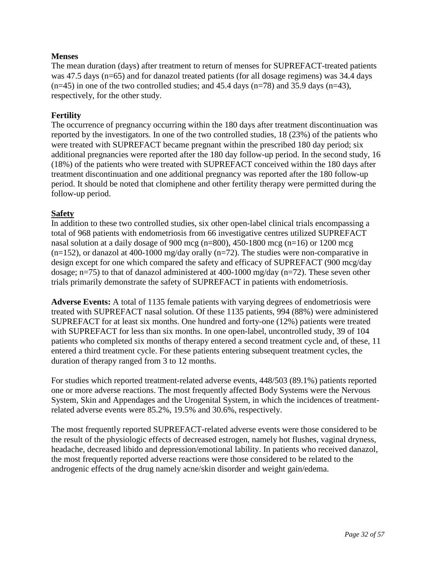# **Menses**

The mean duration (days) after treatment to return of menses for SUPREFACT-treated patients was 47.5 days (n=65) and for danazol treated patients (for all dosage regimens) was 34.4 days  $(n=45)$  in one of the two controlled studies; and 45.4 days  $(n=78)$  and 35.9 days  $(n=43)$ , respectively, for the other study.

## **Fertility**

The occurrence of pregnancy occurring within the 180 days after treatment discontinuation was reported by the investigators. In one of the two controlled studies, 18 (23%) of the patients who were treated with SUPREFACT became pregnant within the prescribed 180 day period; six additional pregnancies were reported after the 180 day follow-up period. In the second study, 16 (18%) of the patients who were treated with SUPREFACT conceived within the 180 days after treatment discontinuation and one additional pregnancy was reported after the 180 follow-up period. It should be noted that clomiphene and other fertility therapy were permitted during the follow-up period.

# **Safety**

In addition to these two controlled studies, six other open-label clinical trials encompassing a total of 968 patients with endometriosis from 66 investigative centres utilized SUPREFACT nasal solution at a daily dosage of 900 mcg  $(n=800)$ , 450-1800 mcg  $(n=16)$  or 1200 mcg  $(n=152)$ , or danazol at 400-1000 mg/day orally  $(n=72)$ . The studies were non-comparative in design except for one which compared the safety and efficacy of SUPREFACT (900 mcg/day dosage; n=75) to that of danazol administered at 400-1000 mg/day (n=72). These seven other trials primarily demonstrate the safety of SUPREFACT in patients with endometriosis.

**Adverse Events:** A total of 1135 female patients with varying degrees of endometriosis were treated with SUPREFACT nasal solution. Of these 1135 patients, 994 (88%) were administered SUPREFACT for at least six months. One hundred and forty-one (12%) patients were treated with SUPREFACT for less than six months. In one open-label, uncontrolled study, 39 of 104 patients who completed six months of therapy entered a second treatment cycle and, of these, 11 entered a third treatment cycle. For these patients entering subsequent treatment cycles, the duration of therapy ranged from 3 to 12 months.

For studies which reported treatment-related adverse events, 448/503 (89.1%) patients reported one or more adverse reactions. The most frequently affected Body Systems were the Nervous System, Skin and Appendages and the Urogenital System, in which the incidences of treatmentrelated adverse events were 85.2%, 19.5% and 30.6%, respectively.

The most frequently reported SUPREFACT-related adverse events were those considered to be the result of the physiologic effects of decreased estrogen, namely hot flushes, vaginal dryness, headache, decreased libido and depression/emotional lability. In patients who received danazol, the most frequently reported adverse reactions were those considered to be related to the androgenic effects of the drug namely acne/skin disorder and weight gain/edema.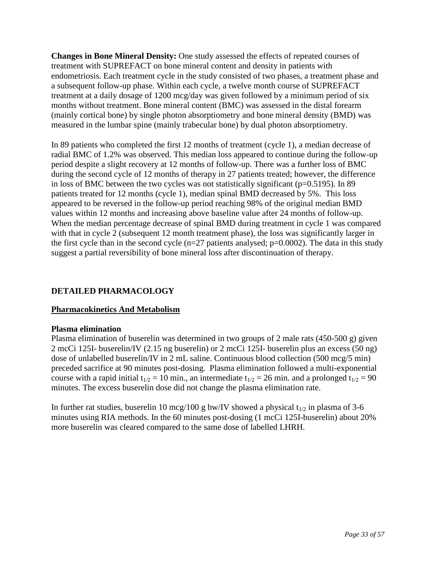**Changes in Bone Mineral Density:** One study assessed the effects of repeated courses of treatment with SUPREFACT on bone mineral content and density in patients with endometriosis. Each treatment cycle in the study consisted of two phases, a treatment phase and a subsequent follow-up phase. Within each cycle, a twelve month course of SUPREFACT treatment at a daily dosage of 1200 mcg/day was given followed by a minimum period of six months without treatment. Bone mineral content (BMC) was assessed in the distal forearm (mainly cortical bone) by single photon absorptiometry and bone mineral density (BMD) was measured in the lumbar spine (mainly trabecular bone) by dual photon absorptiometry.

In 89 patients who completed the first 12 months of treatment (cycle 1), a median decrease of radial BMC of 1.2% was observed. This median loss appeared to continue during the follow-up period despite a slight recovery at 12 months of follow-up. There was a further loss of BMC during the second cycle of 12 months of therapy in 27 patients treated; however, the difference in loss of BMC between the two cycles was not statistically significant (p=0.5195). In 89 patients treated for 12 months (cycle 1), median spinal BMD decreased by 5%. This loss appeared to be reversed in the follow-up period reaching 98% of the original median BMD values within 12 months and increasing above baseline value after 24 months of follow-up. When the median percentage decrease of spinal BMD during treatment in cycle 1 was compared with that in cycle 2 (subsequent 12 month treatment phase), the loss was significantly larger in the first cycle than in the second cycle  $(n=27)$  patients analysed;  $p=0.0002$ ). The data in this study suggest a partial reversibility of bone mineral loss after discontinuation of therapy.

# <span id="page-32-0"></span>**DETAILED PHARMACOLOGY**

## **Pharmacokinetics And Metabolism**

#### **Plasma elimination**

Plasma elimination of buserelin was determined in two groups of 2 male rats (450-500 g) given 2 mcCi 125I- buserelin/IV (2.15 ng buserelin) or 2 mcCi 125I- buserelin plus an excess (50 ng) dose of unlabelled buserelin/IV in 2 mL saline. Continuous blood collection (500 mcg/5 min) preceded sacrifice at 90 minutes post-dosing. Plasma elimination followed a multi-exponential course with a rapid initial  $t_{1/2} = 10$  min., an intermediate  $t_{1/2} = 26$  min. and a prolonged  $t_{1/2} = 90$ minutes. The excess buserelin dose did not change the plasma elimination rate.

In further rat studies, buserelin 10 mcg/100 g bw/IV showed a physical  $t_{1/2}$  in plasma of 3-6 minutes using RIA methods. In the 60 minutes post-dosing (1 mcCi 125I-buserelin) about 20% more buserelin was cleared compared to the same dose of labelled LHRH.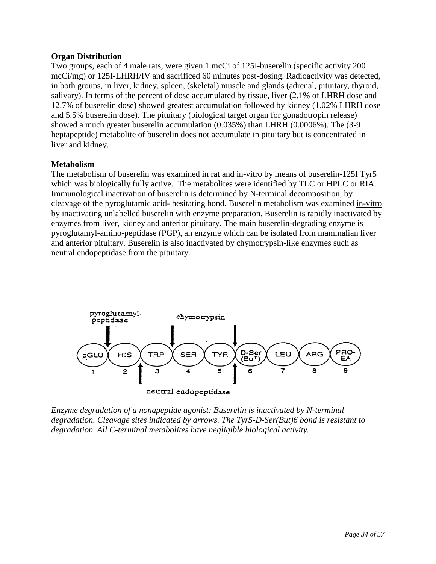## **Organ Distribution**

Two groups, each of 4 male rats, were given 1 mcCi of 125I-buserelin (specific activity 200 mcCi/mg) or 125I-LHRH/IV and sacrificed 60 minutes post-dosing. Radioactivity was detected, in both groups, in liver, kidney, spleen, (skeletal) muscle and glands (adrenal, pituitary, thyroid, salivary). In terms of the percent of dose accumulated by tissue, liver (2.1% of LHRH dose and 12.7% of buserelin dose) showed greatest accumulation followed by kidney (1.02% LHRH dose and 5.5% buserelin dose). The pituitary (biological target organ for gonadotropin release) showed a much greater buserelin accumulation (0.035%) than LHRH (0.0006%). The (3-9 heptapeptide) metabolite of buserelin does not accumulate in pituitary but is concentrated in liver and kidney.

## **Metabolism**

The metabolism of buserelin was examined in rat and in-vitro by means of buserelin-125I Tyr5 which was biologically fully active. The metabolites were identified by TLC or HPLC or RIA. Immunological inactivation of buserelin is determined by N-terminal decomposition, by cleavage of the pyroglutamic acid- hesitating bond. Buserelin metabolism was examined in-vitro by inactivating unlabelled buserelin with enzyme preparation. Buserelin is rapidly inactivated by enzymes from liver, kidney and anterior pituitary. The main buserelin-degrading enzyme is pyroglutamyl-amino-peptidase (PGP), an enzyme which can be isolated from mammalian liver and anterior pituitary. Buserelin is also inactivated by chymotrypsin-like enzymes such as neutral endopeptidase from the pituitary.



*Enzyme degradation of a nonapeptide agonist: Buserelin is inactivated by N-terminal degradation. Cleavage sites indicated by arrows. The Tyr5-D-Ser(But)6 bond is resistant to degradation. All C-terminal metabolites have negligible biological activity.*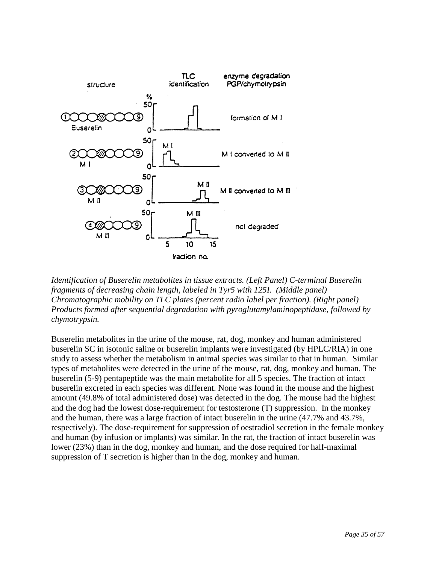

*Identification of Buserelin metabolites in tissue extracts. (Left Panel) C-terminal Buserelin fragments of decreasing chain length, labeled in Tyr5 with 125I. (Middle panel) Chromatographic mobility on TLC plates (percent radio label per fraction). (Right panel) Products formed after sequential degradation with pyroglutamylaminopeptidase, followed by chymotrypsin.*

Buserelin metabolites in the urine of the mouse, rat, dog, monkey and human administered buserelin SC in isotonic saline or buserelin implants were investigated (by HPLC/RIA) in one study to assess whether the metabolism in animal species was similar to that in human. Similar types of metabolites were detected in the urine of the mouse, rat, dog, monkey and human. The buserelin (5-9) pentapeptide was the main metabolite for all 5 species. The fraction of intact buserelin excreted in each species was different. None was found in the mouse and the highest amount (49.8% of total administered dose) was detected in the dog. The mouse had the highest and the dog had the lowest dose-requirement for testosterone (T) suppression. In the monkey and the human, there was a large fraction of intact buserelin in the urine (47.7% and 43.7%, respectively). The dose-requirement for suppression of oestradiol secretion in the female monkey and human (by infusion or implants) was similar. In the rat, the fraction of intact buserelin was lower (23%) than in the dog, monkey and human, and the dose required for half-maximal suppression of T secretion is higher than in the dog, monkey and human.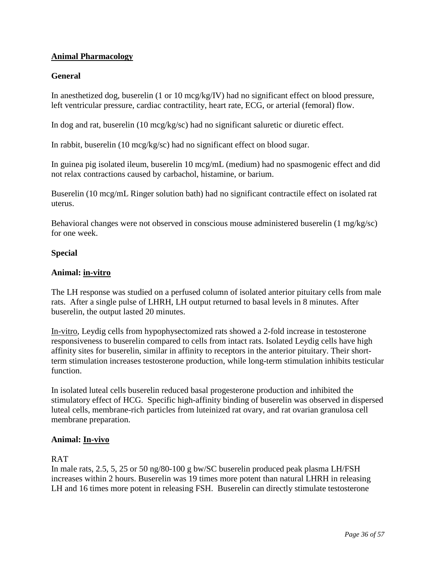# **Animal Pharmacology**

# **General**

In anesthetized dog, buserelin (1 or 10 mcg/kg/IV) had no significant effect on blood pressure, left ventricular pressure, cardiac contractility, heart rate, ECG, or arterial (femoral) flow.

In dog and rat, buserelin (10 mcg/kg/sc) had no significant saluretic or diuretic effect.

In rabbit, buserelin (10 mcg/kg/sc) had no significant effect on blood sugar.

In guinea pig isolated ileum, buserelin 10 mcg/mL (medium) had no spasmogenic effect and did not relax contractions caused by carbachol, histamine, or barium.

Buserelin (10 mcg/mL Ringer solution bath) had no significant contractile effect on isolated rat uterus.

Behavioral changes were not observed in conscious mouse administered buserelin (1 mg/kg/sc) for one week.

## **Special**

# **Animal: in-vitro**

The LH response was studied on a perfused column of isolated anterior pituitary cells from male rats. After a single pulse of LHRH, LH output returned to basal levels in 8 minutes. After buserelin, the output lasted 20 minutes.

In-vitro, Leydig cells from hypophysectomized rats showed a 2-fold increase in testosterone responsiveness to buserelin compared to cells from intact rats. Isolated Leydig cells have high affinity sites for buserelin, similar in affinity to receptors in the anterior pituitary. Their shortterm stimulation increases testosterone production, while long-term stimulation inhibits testicular function.

In isolated luteal cells buserelin reduced basal progesterone production and inhibited the stimulatory effect of HCG. Specific high-affinity binding of buserelin was observed in dispersed luteal cells, membrane-rich particles from luteinized rat ovary, and rat ovarian granulosa cell membrane preparation.

## **Animal: In-vivo**

## RAT

In male rats, 2.5, 5, 25 or 50 ng/80-100 g bw/SC buserelin produced peak plasma LH/FSH increases within 2 hours. Buserelin was 19 times more potent than natural LHRH in releasing LH and 16 times more potent in releasing FSH. Buserelin can directly stimulate testosterone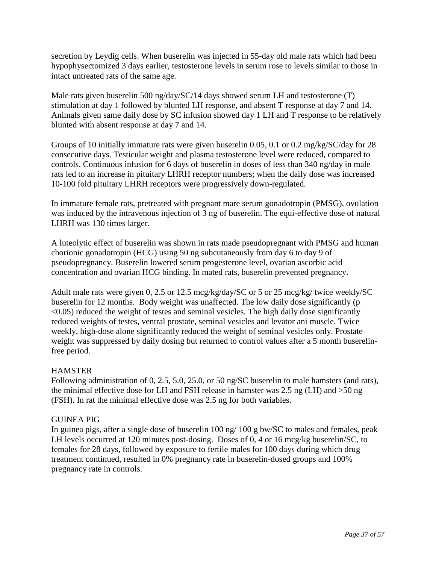secretion by Leydig cells. When buserelin was injected in 55-day old male rats which had been hypophysectomized 3 days earlier, testosterone levels in serum rose to levels similar to those in intact untreated rats of the same age.

Male rats given buserelin 500 ng/day/SC/14 days showed serum LH and testosterone (T) stimulation at day 1 followed by blunted LH response, and absent T response at day 7 and 14. Animals given same daily dose by SC infusion showed day 1 LH and T response to be relatively blunted with absent response at day 7 and 14.

Groups of 10 initially immature rats were given buserelin 0.05, 0.1 or 0.2 mg/kg/SC/day for 28 consecutive days. Testicular weight and plasma testosterone level were reduced, compared to controls. Continuous infusion for 6 days of buserelin in doses of less than 340 ng/day in male rats led to an increase in pituitary LHRH receptor numbers; when the daily dose was increased 10-100 fold pituitary LHRH receptors were progressively down-regulated.

In immature female rats, pretreated with pregnant mare serum gonadotropin (PMSG), ovulation was induced by the intravenous injection of 3 ng of buserelin. The equi-effective dose of natural LHRH was 130 times larger.

A luteolytic effect of buserelin was shown in rats made pseudopregnant with PMSG and human chorionic gonadotropin (HCG) using 50 ng subcutaneously from day 6 to day 9 of pseudopregnancy. Buserelin lowered serum progesterone level, ovarian ascorbic acid concentration and ovarian HCG binding. In mated rats, buserelin prevented pregnancy.

Adult male rats were given 0, 2.5 or 12.5 mcg/kg/day/SC or 5 or 25 mcg/kg/ twice weekly/SC buserelin for 12 months. Body weight was unaffected. The low daily dose significantly (p  $\leq$  0.05) reduced the weight of testes and seminal vesicles. The high daily dose significantly reduced weights of testes, ventral prostate, seminal vesicles and levator ani muscle. Twice weekly, high-dose alone significantly reduced the weight of seminal vesicles only. Prostate weight was suppressed by daily dosing but returned to control values after a 5 month buserelinfree period.

# HAMSTER

Following administration of 0, 2.5, 5.0, 25.0, or 50 ng/SC buserelin to male hamsters (and rats), the minimal effective dose for LH and FSH release in hamster was 2.5 ng (LH) and >50 ng (FSH). In rat the minimal effective dose was 2.5 ng for both variables.

# GUINEA PIG

In guinea pigs, after a single dose of buserelin 100 ng/ 100 g bw/SC to males and females, peak LH levels occurred at 120 minutes post-dosing. Doses of 0, 4 or 16 mcg/kg buserelin/SC, to females for 28 days, followed by exposure to fertile males for 100 days during which drug treatment continued, resulted in 0% pregnancy rate in buserelin-dosed groups and 100% pregnancy rate in controls.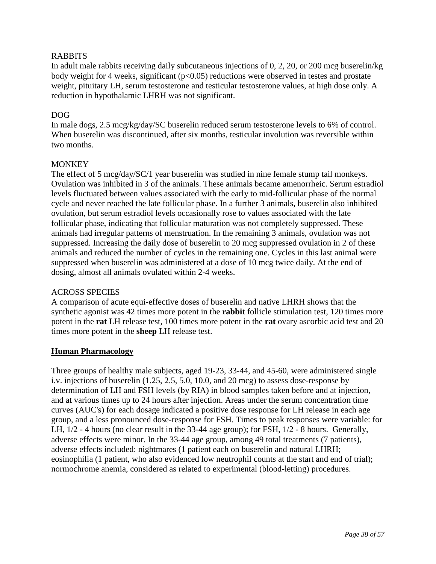## RABBITS

In adult male rabbits receiving daily subcutaneous injections of 0, 2, 20, or 200 mcg buserelin/kg body weight for 4 weeks, significant  $(p<0.05)$  reductions were observed in testes and prostate weight, pituitary LH, serum testosterone and testicular testosterone values, at high dose only. A reduction in hypothalamic LHRH was not significant.

# DOG

In male dogs, 2.5 mcg/kg/day/SC buserelin reduced serum testosterone levels to 6% of control. When buserelin was discontinued, after six months, testicular involution was reversible within two months.

# **MONKEY**

The effect of 5 mcg/day/SC/1 year buserelin was studied in nine female stump tail monkeys. Ovulation was inhibited in 3 of the animals. These animals became amenorrheic. Serum estradiol levels fluctuated between values associated with the early to mid-follicular phase of the normal cycle and never reached the late follicular phase. In a further 3 animals, buserelin also inhibited ovulation, but serum estradiol levels occasionally rose to values associated with the late follicular phase, indicating that follicular maturation was not completely suppressed. These animals had irregular patterns of menstruation. In the remaining 3 animals, ovulation was not suppressed. Increasing the daily dose of buserelin to 20 mcg suppressed ovulation in 2 of these animals and reduced the number of cycles in the remaining one. Cycles in this last animal were suppressed when buserelin was administered at a dose of 10 mcg twice daily. At the end of dosing, almost all animals ovulated within 2-4 weeks.

## ACROSS SPECIES

A comparison of acute equi-effective doses of buserelin and native LHRH shows that the synthetic agonist was 42 times more potent in the **rabbit** follicle stimulation test, 120 times more potent in the **rat** LH release test, 100 times more potent in the **rat** ovary ascorbic acid test and 20 times more potent in the **sheep** LH release test.

## **Human Pharmacology**

Three groups of healthy male subjects, aged 19-23, 33-44, and 45-60, were administered single i.v. injections of buserelin (1.25, 2.5, 5.0, 10.0, and 20 mcg) to assess dose-response by determination of LH and FSH levels (by RIA) in blood samples taken before and at injection, and at various times up to 24 hours after injection. Areas under the serum concentration time curves (AUC's) for each dosage indicated a positive dose response for LH release in each age group, and a less pronounced dose-response for FSH. Times to peak responses were variable: for LH, 1/2 - 4 hours (no clear result in the 33-44 age group); for FSH, 1/2 - 8 hours. Generally, adverse effects were minor. In the 33-44 age group, among 49 total treatments (7 patients), adverse effects included: nightmares (1 patient each on buserelin and natural LHRH; eosinophilia (1 patient, who also evidenced low neutrophil counts at the start and end of trial); normochrome anemia, considered as related to experimental (blood-letting) procedures.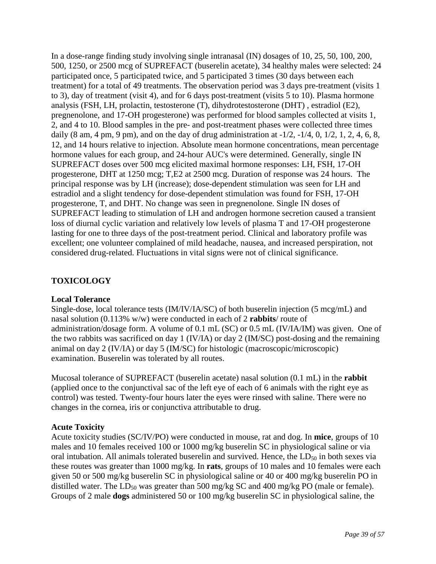In a dose-range finding study involving single intranasal (IN) dosages of 10, 25, 50, 100, 200, 500, 1250, or 2500 mcg of SUPREFACT (buserelin acetate), 34 healthy males were selected: 24 participated once, 5 participated twice, and 5 participated 3 times (30 days between each treatment) for a total of 49 treatments. The observation period was 3 days pre-treatment (visits 1 to 3), day of treatment (visit 4), and for 6 days post-treatment (visits 5 to 10). Plasma hormone analysis (FSH, LH, prolactin, testosterone (T), dihydrotestosterone (DHT) , estradiol (E2), pregnenolone, and 17-OH progesterone) was performed for blood samples collected at visits 1, 2, and 4 to 10. Blood samples in the pre- and post-treatment phases were collected three times daily  $(8 \text{ am}, 4 \text{ pm}, 9 \text{ pm})$ , and on the day of drug administration at  $-1/2$ ,  $-1/4$ , 0,  $1/2$ , 1, 2, 4, 6, 8, 12, and 14 hours relative to injection. Absolute mean hormone concentrations, mean percentage hormone values for each group, and 24-hour AUC's were determined. Generally, single IN SUPREFACT doses over 500 mcg elicited maximal hormone responses: LH, FSH, 17-OH progesterone, DHT at 1250 mcg; T,E2 at 2500 mcg. Duration of response was 24 hours. The principal response was by LH (increase); dose-dependent stimulation was seen for LH and estradiol and a slight tendency for dose-dependent stimulation was found for FSH, 17-OH progesterone, T, and DHT. No change was seen in pregnenolone. Single IN doses of SUPREFACT leading to stimulation of LH and androgen hormone secretion caused a transient loss of diurnal cyclic variation and relatively low levels of plasma T and 17-OH progesterone lasting for one to three days of the post-treatment period. Clinical and laboratory profile was excellent; one volunteer complained of mild headache, nausea, and increased perspiration, not considered drug-related. Fluctuations in vital signs were not of clinical significance.

# <span id="page-38-0"></span>**TOXICOLOGY**

## **Local Tolerance**

Single-dose, local tolerance tests (IM/IV/IA/SC) of both buserelin injection (5 mcg/mL) and nasal solution (0.113% w/w) were conducted in each of 2 **rabbits**/ route of administration/dosage form. A volume of 0.1 mL (SC) or 0.5 mL (IV/IA/IM) was given. One of the two rabbits was sacrificed on day 1 (IV/IA) or day 2 (IM/SC) post-dosing and the remaining animal on day 2 (IV/IA) or day 5 (IM/SC) for histologic (macroscopic/microscopic) examination. Buserelin was tolerated by all routes.

Mucosal tolerance of SUPREFACT (buserelin acetate) nasal solution (0.1 mL) in the **rabbit** (applied once to the conjunctival sac of the left eye of each of 6 animals with the right eye as control) was tested. Twenty-four hours later the eyes were rinsed with saline. There were no changes in the cornea, iris or conjunctiva attributable to drug.

## **Acute Toxicity**

Acute toxicity studies (SC/IV/PO) were conducted in mouse, rat and dog. In **mice**, groups of 10 males and 10 females received 100 or 1000 mg/kg buserelin SC in physiological saline or via oral intubation. All animals tolerated buserelin and survived. Hence, the  $LD_{50}$  in both sexes via these routes was greater than 1000 mg/kg. In **rats**, groups of 10 males and 10 females were each given 50 or 500 mg/kg buserelin SC in physiological saline or 40 or 400 mg/kg buserelin PO in distilled water. The  $LD_{50}$  was greater than 500 mg/kg SC and 400 mg/kg PO (male or female). Groups of 2 male **dogs** administered 50 or 100 mg/kg buserelin SC in physiological saline, the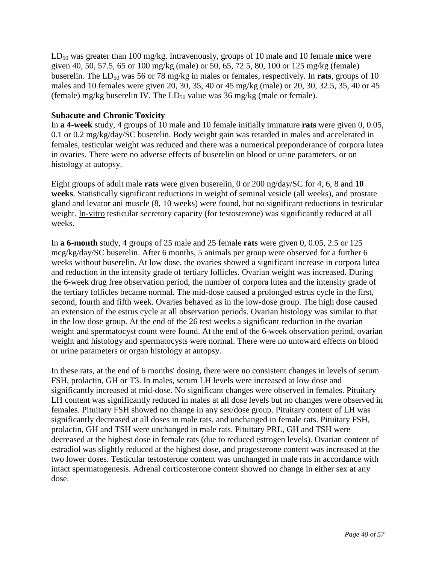LD<sub>50</sub> was greater than 100 mg/kg. Intravenously, groups of 10 male and 10 female **mice** were given 40, 50, 57.5, 65 or 100 mg/kg (male) or 50, 65, 72.5, 80, 100 or 125 mg/kg (female) buserelin. The  $LD_{50}$  was 56 or 78 mg/kg in males or females, respectively. In **rats**, groups of 10 males and 10 females were given 20, 30, 35, 40 or 45 mg/kg (male) or 20, 30, 32.5, 35, 40 or 45 (female) mg/kg buserelin IV. The  $LD_{50}$  value was 36 mg/kg (male or female).

## **Subacute and Chronic Toxicity**

In **a 4-week** study, 4 groups of 10 male and 10 female initially immature **rats** were given 0, 0.05, 0.1 or 0.2 mg/kg/day/SC buserelin. Body weight gain was retarded in males and accelerated in females, testicular weight was reduced and there was a numerical preponderance of corpora lutea in ovaries. There were no adverse effects of buserelin on blood or urine parameters, or on histology at autopsy.

Eight groups of adult male **rats** were given buserelin, 0 or 200 ng/day/SC for 4, 6, 8 and **10 weeks**. Statistically significant reductions in weight of seminal vesicle (all weeks), and prostate gland and levator ani muscle (8, 10 weeks) were found, but no significant reductions in testicular weight. In-vitro testicular secretory capacity (for testosterone) was significantly reduced at all weeks.

In **a 6-month** study, 4 groups of 25 male and 25 female **rats** were given 0, 0.05, 2.5 or 125 mcg/kg/day/SC buserelin. After 6 months, 5 animals per group were observed for a further 6 weeks without buserelin. At low dose, the ovaries showed a significant increase in corpora lutea and reduction in the intensity grade of tertiary follicles. Ovarian weight was increased. During the 6-week drug free observation period, the number of corpora lutea and the intensity grade of the tertiary follicles became normal. The mid-dose caused a prolonged estrus cycle in the first, second, fourth and fifth week. Ovaries behaved as in the low-dose group. The high dose caused an extension of the estrus cycle at all observation periods. Ovarian histology was similar to that in the low dose group. At the end of the 26 test weeks a significant reduction in the ovarian weight and spermatocyst count were found. At the end of the 6-week observation period, ovarian weight and histology and spermatocysts were normal. There were no untoward effects on blood or urine parameters or organ histology at autopsy.

In these rats, at the end of 6 months' dosing, there were no consistent changes in levels of serum FSH, prolactin, GH or T3. In males, serum LH levels were increased at low dose and significantly increased at mid-dose. No significant changes were observed in females. Pituitary LH content was significantly reduced in males at all dose levels but no changes were observed in females. Pituitary FSH showed no change in any sex/dose group. Pituitary content of LH was significantly decreased at all doses in male rats, and unchanged in female rats. Pituitary FSH, prolactin, GH and TSH were unchanged in male rats. Pituitary PRL, GH and TSH were decreased at the highest dose in female rats (due to reduced estrogen levels). Ovarian content of estradiol was slightly reduced at the highest dose, and progesterone content was increased at the two lower doses. Testicular testosterone content was unchanged in male rats in accordance with intact spermatogenesis. Adrenal corticosterone content showed no change in either sex at any dose.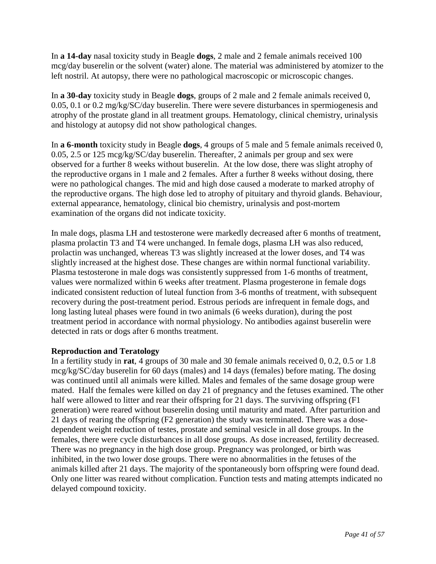In **a 14-day** nasal toxicity study in Beagle **dogs**, 2 male and 2 female animals received 100 mcg/day buserelin or the solvent (water) alone. The material was administered by atomizer to the left nostril. At autopsy, there were no pathological macroscopic or microscopic changes.

In **a 30-day** toxicity study in Beagle **dogs**, groups of 2 male and 2 female animals received 0, 0.05, 0.1 or 0.2 mg/kg/SC/day buserelin. There were severe disturbances in spermiogenesis and atrophy of the prostate gland in all treatment groups. Hematology, clinical chemistry, urinalysis and histology at autopsy did not show pathological changes.

In **a 6-month** toxicity study in Beagle **dogs**, 4 groups of 5 male and 5 female animals received 0, 0.05, 2.5 or 125 mcg/kg/SC/day buserelin. Thereafter, 2 animals per group and sex were observed for a further 8 weeks without buserelin. At the low dose, there was slight atrophy of the reproductive organs in 1 male and 2 females. After a further 8 weeks without dosing, there were no pathological changes. The mid and high dose caused a moderate to marked atrophy of the reproductive organs. The high dose led to atrophy of pituitary and thyroid glands. Behaviour, external appearance, hematology, clinical bio chemistry, urinalysis and post-mortem examination of the organs did not indicate toxicity.

In male dogs, plasma LH and testosterone were markedly decreased after 6 months of treatment, plasma prolactin T3 and T4 were unchanged. In female dogs, plasma LH was also reduced, prolactin was unchanged, whereas T3 was slightly increased at the lower doses, and T4 was slightly increased at the highest dose. These changes are within normal functional variability. Plasma testosterone in male dogs was consistently suppressed from 1-6 months of treatment, values were normalized within 6 weeks after treatment. Plasma progesterone in female dogs indicated consistent reduction of luteal function from 3-6 months of treatment, with subsequent recovery during the post-treatment period. Estrous periods are infrequent in female dogs, and long lasting luteal phases were found in two animals (6 weeks duration), during the post treatment period in accordance with normal physiology. No antibodies against buserelin were detected in rats or dogs after 6 months treatment.

## **Reproduction and Teratology**

In a fertility study in **rat**, 4 groups of 30 male and 30 female animals received 0, 0.2, 0.5 or 1.8 mcg/kg/SC/day buserelin for 60 days (males) and 14 days (females) before mating. The dosing was continued until all animals were killed. Males and females of the same dosage group were mated. Half the females were killed on day 21 of pregnancy and the fetuses examined. The other half were allowed to litter and rear their offspring for 21 days. The surviving offspring (F1) generation) were reared without buserelin dosing until maturity and mated. After parturition and 21 days of rearing the offspring (F2 generation) the study was terminated. There was a dosedependent weight reduction of testes, prostate and seminal vesicle in all dose groups. In the females, there were cycle disturbances in all dose groups. As dose increased, fertility decreased. There was no pregnancy in the high dose group. Pregnancy was prolonged, or birth was inhibited, in the two lower dose groups. There were no abnormalities in the fetuses of the animals killed after 21 days. The majority of the spontaneously born offspring were found dead. Only one litter was reared without complication. Function tests and mating attempts indicated no delayed compound toxicity.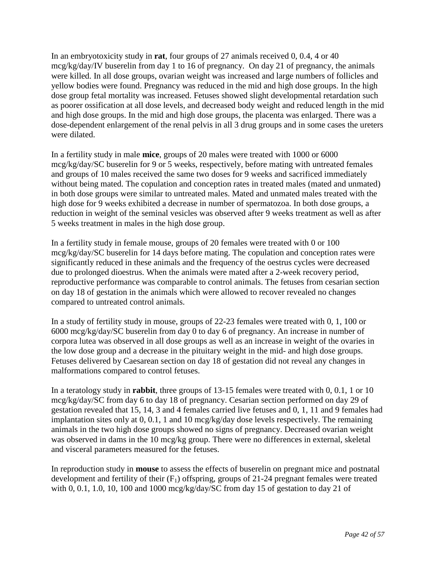In an embryotoxicity study in **rat**, four groups of 27 animals received 0, 0.4, 4 or 40 mcg/kg/day/IV buserelin from day 1 to 16 of pregnancy. On day 21 of pregnancy, the animals were killed. In all dose groups, ovarian weight was increased and large numbers of follicles and yellow bodies were found. Pregnancy was reduced in the mid and high dose groups. In the high dose group fetal mortality was increased. Fetuses showed slight developmental retardation such as poorer ossification at all dose levels, and decreased body weight and reduced length in the mid and high dose groups. In the mid and high dose groups, the placenta was enlarged. There was a dose-dependent enlargement of the renal pelvis in all 3 drug groups and in some cases the ureters were dilated.

In a fertility study in male **mice**, groups of 20 males were treated with 1000 or 6000 mcg/kg/day/SC buserelin for 9 or 5 weeks, respectively, before mating with untreated females and groups of 10 males received the same two doses for 9 weeks and sacrificed immediately without being mated. The copulation and conception rates in treated males (mated and unmated) in both dose groups were similar to untreated males. Mated and unmated males treated with the high dose for 9 weeks exhibited a decrease in number of spermatozoa. In both dose groups, a reduction in weight of the seminal vesicles was observed after 9 weeks treatment as well as after 5 weeks treatment in males in the high dose group.

In a fertility study in female mouse, groups of 20 females were treated with 0 or 100 mcg/kg/day/SC buserelin for 14 days before mating. The copulation and conception rates were significantly reduced in these animals and the frequency of the oestrus cycles were decreased due to prolonged dioestrus. When the animals were mated after a 2-week recovery period, reproductive performance was comparable to control animals. The fetuses from cesarian section on day 18 of gestation in the animals which were allowed to recover revealed no changes compared to untreated control animals.

In a study of fertility study in mouse, groups of 22-23 females were treated with 0, 1, 100 or 6000 mcg/kg/day/SC buserelin from day 0 to day 6 of pregnancy. An increase in number of corpora lutea was observed in all dose groups as well as an increase in weight of the ovaries in the low dose group and a decrease in the pituitary weight in the mid- and high dose groups. Fetuses delivered by Caesarean section on day 18 of gestation did not reveal any changes in malformations compared to control fetuses.

In a teratology study in **rabbit**, three groups of 13-15 females were treated with 0, 0.1, 1 or 10 mcg/kg/day/SC from day 6 to day 18 of pregnancy. Cesarian section performed on day 29 of gestation revealed that 15, 14, 3 and 4 females carried live fetuses and 0, 1, 11 and 9 females had implantation sites only at 0, 0.1, 1 and 10 mcg/kg/day dose levels respectively. The remaining animals in the two high dose groups showed no signs of pregnancy. Decreased ovarian weight was observed in dams in the 10 mcg/kg group. There were no differences in external, skeletal and visceral parameters measured for the fetuses.

In reproduction study in **mouse** to assess the effects of buserelin on pregnant mice and postnatal development and fertility of their  $(F_1)$  offspring, groups of 21-24 pregnant females were treated with 0, 0.1, 1.0, 10, 100 and 1000 mcg/kg/day/SC from day 15 of gestation to day 21 of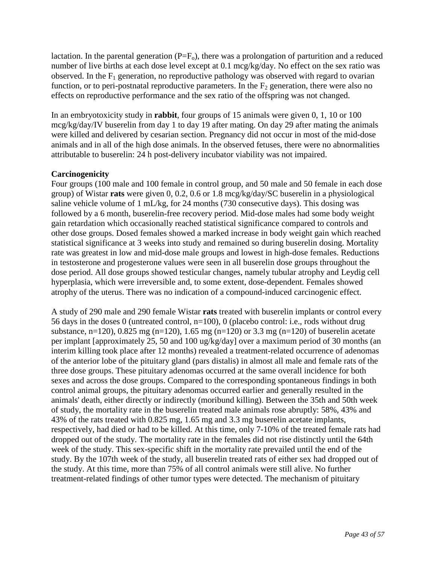lactation. In the parental generation  $(P=F_0)$ , there was a prolongation of parturition and a reduced number of live births at each dose level except at 0.1 mcg/kg/day. No effect on the sex ratio was observed. In the  $F_1$  generation, no reproductive pathology was observed with regard to ovarian function, or to peri-postnatal reproductive parameters. In the  $F_2$  generation, there were also no effects on reproductive performance and the sex ratio of the offspring was not changed.

In an embryotoxicity study in **rabbit**, four groups of 15 animals were given 0, 1, 10 or 100 mcg/kg/day/IV buserelin from day 1 to day 19 after mating. On day 29 after mating the animals were killed and delivered by cesarian section. Pregnancy did not occur in most of the mid-dose animals and in all of the high dose animals. In the observed fetuses, there were no abnormalities attributable to buserelin: 24 h post-delivery incubator viability was not impaired.

# **Carcinogenicity**

Four groups (100 male and 100 female in control group, and 50 male and 50 female in each dose group) of Wistar **rats** were given 0, 0.2, 0.6 or 1.8 mcg/kg/day/SC buserelin in a physiological saline vehicle volume of 1 mL/kg, for 24 months (730 consecutive days). This dosing was followed by a 6 month, buserelin-free recovery period. Mid-dose males had some body weight gain retardation which occasionally reached statistical significance compared to controls and other dose groups. Dosed females showed a marked increase in body weight gain which reached statistical significance at 3 weeks into study and remained so during buserelin dosing. Mortality rate was greatest in low and mid-dose male groups and lowest in high-dose females. Reductions in testosterone and progesterone values were seen in all buserelin dose groups throughout the dose period. All dose groups showed testicular changes, namely tubular atrophy and Leydig cell hyperplasia, which were irreversible and, to some extent, dose-dependent. Females showed atrophy of the uterus. There was no indication of a compound-induced carcinogenic effect.

A study of 290 male and 290 female Wistar **rats** treated with buserelin implants or control every 56 days in the doses 0 (untreated control, n=100), 0 (placebo control: i.e., rods without drug substance, n=120), 0.825 mg (n=120), 1.65 mg (n=120) or 3.3 mg (n=120) of buserelin acetate per implant [approximately 25, 50 and 100 ug/kg/day] over a maximum period of 30 months (an interim killing took place after 12 months) revealed a treatment-related occurrence of adenomas of the anterior lobe of the pituitary gland (pars distalis) in almost all male and female rats of the three dose groups. These pituitary adenomas occurred at the same overall incidence for both sexes and across the dose groups. Compared to the corresponding spontaneous findings in both control animal groups, the pituitary adenomas occurred earlier and generally resulted in the animals' death, either directly or indirectly (moribund killing). Between the 35th and 50th week of study, the mortality rate in the buserelin treated male animals rose abruptly: 58%, 43% and 43% of the rats treated with 0.825 mg, 1.65 mg and 3.3 mg buserelin acetate implants, respectively, had died or had to be killed. At this time, only 7-10% of the treated female rats had dropped out of the study. The mortality rate in the females did not rise distinctly until the 64th week of the study. This sex-specific shift in the mortality rate prevailed until the end of the study. By the 107th week of the study, all buserelin treated rats of either sex had dropped out of the study. At this time, more than 75% of all control animals were still alive. No further treatment-related findings of other tumor types were detected. The mechanism of pituitary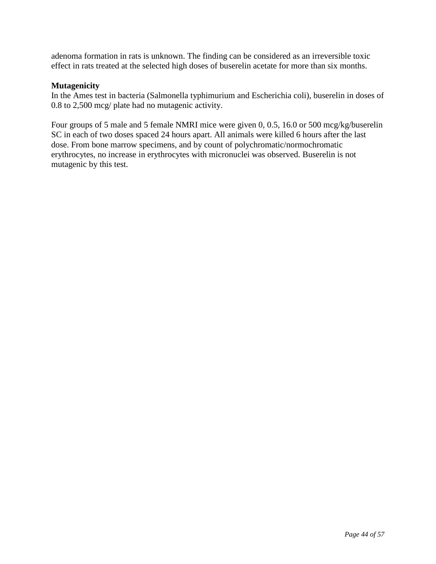adenoma formation in rats is unknown. The finding can be considered as an irreversible toxic effect in rats treated at the selected high doses of buserelin acetate for more than six months.

## **Mutagenicity**

In the Ames test in bacteria (Salmonella typhimurium and Escherichia coli), buserelin in doses of 0.8 to 2,500 mcg/ plate had no mutagenic activity.

Four groups of 5 male and 5 female NMRI mice were given 0, 0.5, 16.0 or 500 mcg/kg/buserelin SC in each of two doses spaced 24 hours apart. All animals were killed 6 hours after the last dose. From bone marrow specimens, and by count of polychromatic/normochromatic erythrocytes, no increase in erythrocytes with micronuclei was observed. Buserelin is not mutagenic by this test.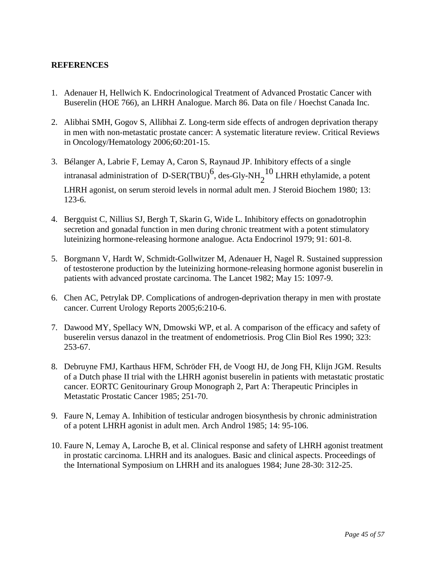# <span id="page-44-0"></span>**REFERENCES**

- 1. Adenauer H, Hellwich K. Endocrinological Treatment of Advanced Prostatic Cancer with Buserelin (HOE 766), an LHRH Analogue. March 86. Data on file / Hoechst Canada Inc.
- 2. Alibhai SMH, Gogov S, Allibhai Z. Long-term side effects of androgen deprivation therapy in men with non-metastatic prostate cancer: A systematic literature review. Critical Reviews in Oncology/Hematology 2006;60:201-15.
- 3. Bélanger A, Labrie F, Lemay A, Caron S, Raynaud JP. Inhibitory effects of a single intranasal administration of D-SER(TBU)<sup>6</sup>, des-Gly-NH<sub>2</sub><sup>10</sup> LHRH ethylamide, a potent LHRH agonist, on serum steroid levels in normal adult men. J Steroid Biochem 1980; 13: 123-6.
- 4. Bergquist C, Nillius SJ, Bergh T, Skarin G, Wide L. Inhibitory effects on gonadotrophin secretion and gonadal function in men during chronic treatment with a potent stimulatory luteinizing hormone-releasing hormone analogue. Acta Endocrinol 1979; 91: 601-8.
- 5. Borgmann V, Hardt W, Schmidt-Gollwitzer M, Adenauer H, Nagel R. Sustained suppression of testosterone production by the luteinizing hormone-releasing hormone agonist buserelin in patients with advanced prostate carcinoma. The Lancet 1982; May 15: 1097-9.
- 6. Chen AC, Petrylak DP. Complications of androgen-deprivation therapy in men with prostate cancer. Current Urology Reports 2005;6:210-6.
- 7. Dawood MY, Spellacy WN, Dmowski WP, et al. A comparison of the efficacy and safety of buserelin versus danazol in the treatment of endometriosis. Prog Clin Biol Res 1990; 323: 253-67.
- 8. Debruyne FMJ, Karthaus HFM, Schröder FH, de Voogt HJ, de Jong FH, Klijn JGM. Results of a Dutch phase II trial with the LHRH agonist buserelin in patients with metastatic prostatic cancer. EORTC Genitourinary Group Monograph 2, Part A: Therapeutic Principles in Metastatic Prostatic Cancer 1985; 251-70.
- 9. Faure N, Lemay A. Inhibition of testicular androgen biosynthesis by chronic administration of a potent LHRH agonist in adult men. Arch Androl 1985; 14: 95-106.
- 10. Faure N, Lemay A, Laroche B, et al. Clinical response and safety of LHRH agonist treatment in prostatic carcinoma. LHRH and its analogues. Basic and clinical aspects. Proceedings of the International Symposium on LHRH and its analogues 1984; June 28-30: 312-25.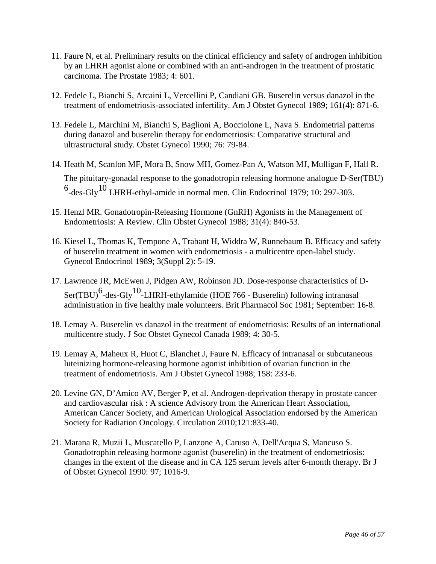- 11. Faure N, et al. Preliminary results on the clinical efficiency and safety of androgen inhibition by an LHRH agonist alone or combined with an anti-androgen in the treatment of prostatic carcinoma. The Prostate 1983; 4: 601.
- 12. Fedele L, Bianchi S, Arcaini L, Vercellini P, Candiani GB. Buserelin versus danazol in the treatment of endometriosis-associated infertility. Am J Obstet Gynecol 1989; 161(4): 871-6.
- 13. Fedele L, Marchini M, Bianchi S, Baglioni A, Bocciolone L, Nava S. Endometrial patterns during danazol and buserelin therapy for endometriosis: Comparative structural and ultrastructural study. Obstet Gynecol 1990; 76: 79-84.
- 14. Heath M, Scanlon MF, Mora B, Snow MH, Gomez-Pan A, Watson MJ, Mulligan F, Hall R. The pituitary-gonadal response to the gonadotropin releasing hormone analogue D-Ser(TBU)  $^6$ -des-Gly<sup>10</sup> LHRH-ethyl-amide in normal men. Clin Endocrinol 1979; 10: 297-303.
- 15. Henzl MR. Gonadotropin-Releasing Hormone (GnRH) Agonists in the Management of Endometriosis: A Review. Clin Obstet Gynecol 1988; 31(4): 840-53.
- 16. Kiesel L, Thomas K, Tempone A, Trabant H, Widdra W, Runnebaum B. Efficacy and safety of buserelin treatment in women with endometriosis - a multicentre open-label study. Gynecol Endocrinol 1989; 3(Suppl 2): 5-19.
- 17. Lawrence JR, McEwen J, Pidgen AW, Robinson JD. Dose-response characteristics of D- $\text{Ser(TBU)}^6$ -des-Gly<sup>10</sup>-LHRH-ethylamide (HOE 766 - Buserelin) following intranasal administration in five healthy male volunteers. Brit Pharmacol Soc 1981; September: 16-8.
- 18. Lemay A. Buserelin vs danazol in the treatment of endometriosis: Results of an international multicentre study. J Soc Obstet Gynecol Canada 1989; 4: 30-5.
- 19. Lemay A, Maheux R, Huot C, Blanchet J, Faure N. Efficacy of intranasal or subcutaneous luteinizing hormone-releasing hormone agonist inhibition of ovarian function in the treatment of endometriosis. Am J Obstet Gynecol 1988; 158: 233-6.
- 20. Levine GN, D'Amico AV, Berger P, et al. Androgen-deprivation therapy in prostate cancer and cardiovascular risk : A science Advisory from the American Heart Association, American Cancer Society, and American Urological Association endorsed by the American Society for Radiation Oncology. Circulation 2010;121:833-40.
- 21. Marana R, Muzii L, Muscatello P, Lanzone A, Caruso A, Dell'Acqua S, Mancuso S. Gonadotrophin releasing hormone agonist (buserelin) in the treatment of endometriosis: changes in the extent of the disease and in CA 125 serum levels after 6-month therapy. Br J of Obstet Gynecol 1990: 97; 1016-9.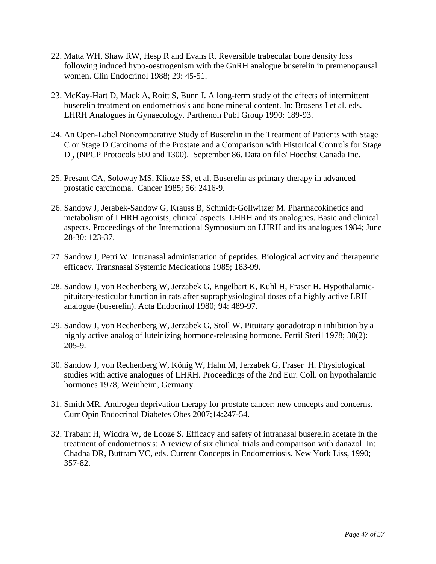- 22. Matta WH, Shaw RW, Hesp R and Evans R. Reversible trabecular bone density loss following induced hypo-oestrogenism with the GnRH analogue buserelin in premenopausal women. Clin Endocrinol 1988; 29: 45-51.
- 23. McKay-Hart D, Mack A, Roitt S, Bunn I. A long-term study of the effects of intermittent buserelin treatment on endometriosis and bone mineral content. In: Brosens I et al. eds. LHRH Analogues in Gynaecology. Parthenon Publ Group 1990: 189-93.
- 24. An Open-Label Noncomparative Study of Buserelin in the Treatment of Patients with Stage C or Stage D Carcinoma of the Prostate and a Comparison with Historical Controls for Stage  $D_2$  (NPCP Protocols 500 and 1300). September 86. Data on file/ Hoechst Canada Inc.
- 25. Presant CA, Soloway MS, Klioze SS, et al. Buserelin as primary therapy in advanced prostatic carcinoma. Cancer 1985; 56: 2416-9.
- 26. Sandow J, Jerabek-Sandow G, Krauss B, Schmidt-Gollwitzer M. Pharmacokinetics and metabolism of LHRH agonists, clinical aspects. LHRH and its analogues. Basic and clinical aspects. Proceedings of the International Symposium on LHRH and its analogues 1984; June 28-30: 123-37.
- 27. Sandow J, Petri W. Intranasal administration of peptides. Biological activity and therapeutic efficacy. Transnasal Systemic Medications 1985; 183-99.
- 28. Sandow J, von Rechenberg W, Jerzabek G, Engelbart K, Kuhl H, Fraser H. Hypothalamicpituitary-testicular function in rats after supraphysiological doses of a highly active LRH analogue (buserelin). Acta Endocrinol 1980; 94: 489-97.
- 29. Sandow J, von Rechenberg W, Jerzabek G, Stoll W. Pituitary gonadotropin inhibition by a highly active analog of luteinizing hormone-releasing hormone. Fertil Steril 1978; 30(2): 205-9.
- 30. Sandow J, von Rechenberg W, König W, Hahn M, Jerzabek G, Fraser H. Physiological studies with active analogues of LHRH. Proceedings of the 2nd Eur. Coll. on hypothalamic hormones 1978; Weinheim, Germany.
- 31. Smith MR. Androgen deprivation therapy for prostate cancer: new concepts and concerns. Curr Opin Endocrinol Diabetes Obes 2007;14:247-54.
- 32. Trabant H, Widdra W, de Looze S. Efficacy and safety of intranasal buserelin acetate in the treatment of endometriosis: A review of six clinical trials and comparison with danazol. In: Chadha DR, Buttram VC, eds. Current Concepts in Endometriosis. New York Liss, 1990; 357-82.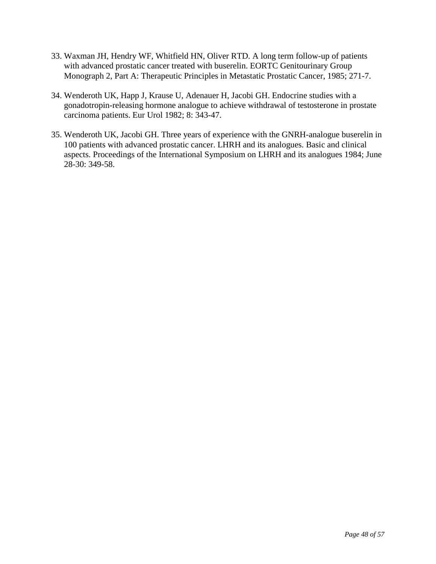- 33. Waxman JH, Hendry WF, Whitfield HN, Oliver RTD. A long term follow-up of patients with advanced prostatic cancer treated with buserelin. EORTC Genitourinary Group Monograph 2, Part A: Therapeutic Principles in Metastatic Prostatic Cancer, 1985; 271-7.
- 34. Wenderoth UK, Happ J, Krause U, Adenauer H, Jacobi GH. Endocrine studies with a gonadotropin-releasing hormone analogue to achieve withdrawal of testosterone in prostate carcinoma patients. Eur Urol 1982; 8: 343-47.
- 35. Wenderoth UK, Jacobi GH. Three years of experience with the GNRH-analogue buserelin in 100 patients with advanced prostatic cancer. LHRH and its analogues. Basic and clinical aspects. Proceedings of the International Symposium on LHRH and its analogues 1984; June 28-30: 349-58.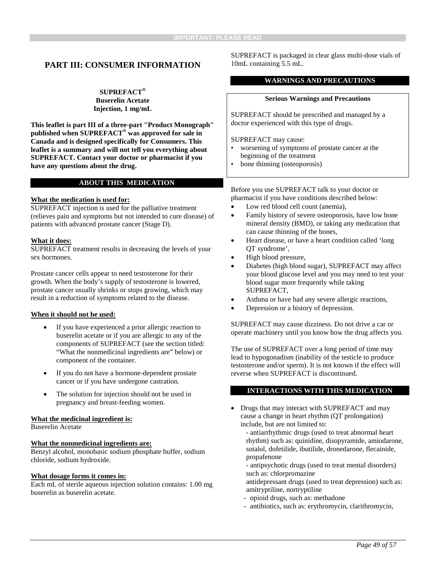# <span id="page-48-0"></span>**PART III: CONSUMER INFORMATION**

**SUPREFACT® Buserelin Acetate Injection, 1 mg/mL**

**This leaflet is part III of a three-part "Product Monograph" published when SUPREFACT® was approved for sale in Canada and is designed specifically for Consumers. This leaflet is a summary and will not tell you everything about SUPREFACT. Contact your doctor or pharmacist if you have any questions about the drug.**

#### **ABOUT THIS MEDICATION**

#### **What the medication is used for:**

SUPREFACT injection is used for the palliative treatment (relieves pain and symptoms but not intended to cure disease) of patients with advanced prostate cancer (Stage D).

#### **What it does:**

SUPREFACT treatment results in decreasing the levels of your sex hormones.

Prostate cancer cells appear to need testosterone for their growth. When the body's supply of testosterone is lowered, prostate cancer usually shrinks or stops growing, which may result in a reduction of symptoms related to the disease.

#### **When it should not be used:**

- If you have experienced a prior allergic reaction to buserelin acetate or if you are allergic to any of the components of SUPREFACT (see the section titled: "What the nonmedicinal ingredients are" below) or component of the container.
- If you do not have a hormone-dependent prostate cancer or if you have undergone castration.
- The solution for injection should not be used in pregnancy and breast-feeding women.

#### **What the medicinal ingredient is:**

Buserelin Acetate

#### **What the nonmedicinal ingredients are:**

Benzyl alcohol, monobasic sodium phosphate buffer, sodium chloride, sodium hydroxide.

#### **What dosage forms it comes in:**

Each mL of sterile aqueous injection solution contains: 1.00 mg buserelin as buserelin acetate.

SUPREFACT is packaged in clear glass multi-dose vials of 10mL containing 5.5 mL.

#### **WARNINGS AND PRECAUTIONS**

#### **Serious Warnings and Precautions**

SUPREFACT should be prescribed and managed by a doctor experienced with this type of drugs.

SUPREFACT may cause:

- worsening of symptoms of prostate cancer at the beginning of the treatment
- bone thinning (osteoporosis)

Before you use SUPREFACT talk to your doctor or pharmacist if you have conditions described below:

- Low red blood cell count (anemia),
- Family history of severe osteoporosis, have low bone mineral density (BMD), or taking any medication that can cause thinning of the bones,
- Heart disease, or have a heart condition called 'long QT syndrome',
- High blood pressure,
- Diabetes (high blood sugar), SUPREFACT may affect your blood glucose level and you may need to test your blood sugar more frequently while taking SUPREFACT,
- Asthma or have had any severe allergic reactions,
- Depression or a history of depression.

SUPREFACT may cause dizziness. Do not drive a car or operate machinery until you know how the drug affects you.

The use of SUPREFACT over a long period of time may lead to hypogonadism (inability of the testicle to produce testosterone and/or sperm). It is not known if the effect will reverse when SUPREFACT is discontinued.

#### **INTERACTIONS WITH THIS MEDICATION**

• Drugs that may interact with SUPREFACT and may cause a change in heart rhythm (QT prolongation) include, but are not limited to:

- antiarrhythmic drugs (used to treat abnormal heart rhythm) such as: quinidine, disopyramide, amiodarone, sotalol, dofetilide, ibutilide, dronedarone, flecainide, propafenone

- antipsychotic drugs (used to treat mental disorders) such as: chlorpromazine
- antidepressant drugs (used to treat depression) such as: amitryptiline, nortryptiline
- opioid drugs, such as: methadone
- antibiotics, such as: erythromycin, clarithromycin,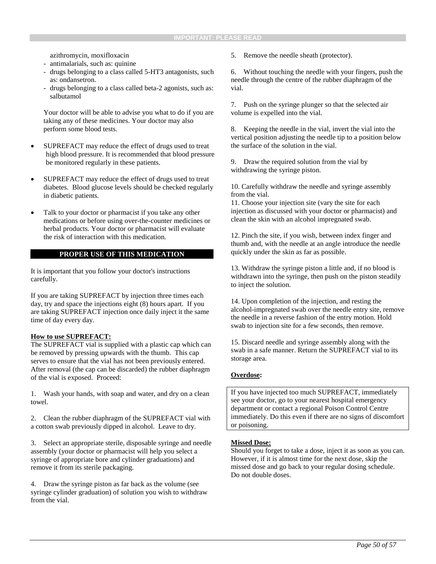azithromycin, moxifloxacin

- antimalarials, such as: quinine
- drugs belonging to a class called 5-HT3 antagonists, such as: ondansetron.
- drugs belonging to a class called beta-2 agonists, such as: salbutamol

Your doctor will be able to advise you what to do if you are taking any of these medicines. Your doctor may also perform some blood tests.

- SUPREFACT may reduce the effect of drugs used to treat high blood pressure. It is recommended that blood pressure be monitored regularly in these patients.
- SUPREFACT may reduce the effect of drugs used to treat diabetes. Blood glucose levels should be checked regularly in diabetic patients.
- Talk to your doctor or pharmacist if you take any other medications or before using over-the-counter medicines or herbal products. Your doctor or pharmacist will evaluate the risk of interaction with this medication.

#### **PROPER USE OF THIS MEDICATION**

It is important that you follow your doctor's instructions carefully.

If you are taking SUPREFACT by injection three times each day, try and space the injections eight (8) hours apart. If you are taking SUPREFACT injection once daily inject it the same time of day every day.

#### **How to use SUPREFACT:**

The SUPREFACT vial is supplied with a plastic cap which can be removed by pressing upwards with the thumb. This cap serves to ensure that the vial has not been previously entered. After removal (the cap can be discarded) the rubber diaphragm of the vial is exposed. Proceed:

1. Wash your hands, with soap and water, and dry on a clean towel.

2. Clean the rubber diaphragm of the SUPREFACT vial with a cotton swab previously dipped in alcohol. Leave to dry.

3. Select an appropriate sterile, disposable syringe and needle assembly (your doctor or pharmacist will help you select a syringe of appropriate bore and cylinder graduations) and remove it from its sterile packaging.

4. Draw the syringe piston as far back as the volume (see syringe cylinder graduation) of solution you wish to withdraw from the vial.

5. Remove the needle sheath (protector).

6. Without touching the needle with your fingers, push the needle through the centre of the rubber diaphragm of the vial.

7. Push on the syringe plunger so that the selected air volume is expelled into the vial.

8. Keeping the needle in the vial, invert the vial into the vertical position adjusting the needle tip to a position below the surface of the solution in the vial.

9. Draw the required solution from the vial by withdrawing the syringe piston.

10. Carefully withdraw the needle and syringe assembly from the vial.

11. Choose your injection site (vary the site for each injection as discussed with your doctor or pharmacist) and clean the skin with an alcohol impregnated swab.

12. Pinch the site, if you wish, between index finger and thumb and, with the needle at an angle introduce the needle quickly under the skin as far as possible.

13. Withdraw the syringe piston a little and, if no blood is withdrawn into the syringe, then push on the piston steadily to inject the solution.

14. Upon completion of the injection, and resting the alcohol-impregnated swab over the needle entry site, remove the needle in a reverse fashion of the entry motion. Hold swab to injection site for a few seconds, then remove.

15. Discard needle and syringe assembly along with the swab in a safe manner. Return the SUPREFACT vial to its storage area.

#### **Overdose:**

If you have injected too much SUPREFACT, immediately see your doctor, go to your nearest hospital emergency department or contact a regional Poison Control Centre immediately. Do this even if there are no signs of discomfort or poisoning.

#### **Missed Dose:**

Should you forget to take a dose, inject it as soon as you can. However, if it is almost time for the next dose, skip the missed dose and go back to your regular dosing schedule. Do not double doses.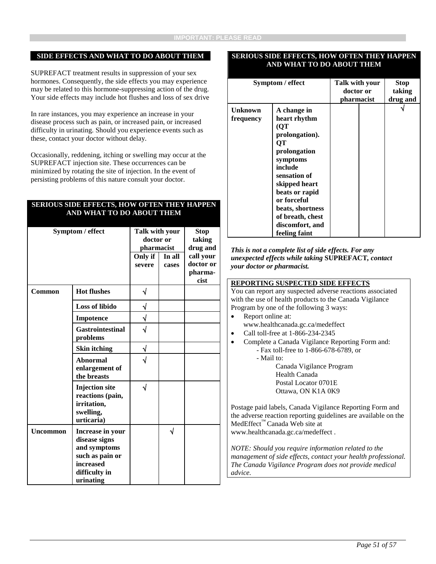#### **SIDE EFFECTS AND WHAT TO DO ABOUT THEM**

SUPREFACT treatment results in suppression of your sex hormones. Consequently, the side effects you may experience may be related to this hormone-suppressing action of the drug. Your side effects may include hot flushes and loss of sex drive

In rare instances, you may experience an increase in your disease process such as pain, or increased pain, or increased difficulty in urinating. Should you experience events such as these, contact your doctor without delay.

Occasionally, reddening, itching or swelling may occur at the SUPREFACT injection site. These occurrences can be minimized by rotating the site of injection. In the event of persisting problems of this nature consult your doctor.

#### **SERIOUS SIDE EFFECTS, HOW OFTEN THEY HAPPEN AND WHAT TO DO ABOUT THEM**

| Symptom / effect |                                                                                                                 | Talk with your<br>doctor or<br>pharmacist<br>Only if<br>In all<br>severe<br>cases |  | <b>Stop</b><br>taking<br>drug and<br>call your<br>doctor or<br>pharma- |
|------------------|-----------------------------------------------------------------------------------------------------------------|-----------------------------------------------------------------------------------|--|------------------------------------------------------------------------|
|                  |                                                                                                                 |                                                                                   |  | cist                                                                   |
| Common           | <b>Hot flushes</b>                                                                                              | √                                                                                 |  |                                                                        |
|                  | <b>Loss of libido</b>                                                                                           |                                                                                   |  |                                                                        |
|                  | Impotence                                                                                                       |                                                                                   |  |                                                                        |
|                  | <b>Gastrointestinal</b><br>problems                                                                             |                                                                                   |  |                                                                        |
|                  | <b>Skin itching</b>                                                                                             |                                                                                   |  |                                                                        |
|                  | <b>Abnormal</b><br>enlargement of<br>the breasts                                                                |                                                                                   |  |                                                                        |
|                  | <b>Injection</b> site<br>reactions (pain,<br>irritation,<br>swelling,<br>urticaria)                             | J                                                                                 |  |                                                                        |
| <b>Uncommon</b>  | Increase in your<br>disease signs<br>and symptoms<br>such as pain or<br>increased<br>difficulty in<br>urinating |                                                                                   |  |                                                                        |

#### **SERIOUS SIDE EFFECTS, HOW OFTEN THEY HAPPEN AND WHAT TO DO ABOUT THEM**

| Symptom / effect            |                                                                                                                                                                                                                                                 | Talk with your<br>doctor or<br>pharmacist |  | <b>Stop</b><br>taking<br>drug and |
|-----------------------------|-------------------------------------------------------------------------------------------------------------------------------------------------------------------------------------------------------------------------------------------------|-------------------------------------------|--|-----------------------------------|
| <b>Unknown</b><br>frequency | A change in<br>heart rhythm<br>(QT<br>prolongation).<br>OТ<br>prolongation<br>symptoms<br>include<br>sensation of<br>skipped heart<br>beats or rapid<br>or forceful<br>beats, shortness<br>of breath, chest<br>discomfort, and<br>feeling faint |                                           |  |                                   |

*This is not a complete list of side effects. For any unexpected effects while taking* **SUPREFACT***, contact your doctor or pharmacist.*

#### **REPORTING SUSPECTED SIDE EFFECTS**

You can report any suspected adverse reactions associated with the use of health products to the Canada Vigilance Program by one of the following 3 ways:

- Report online at:
- www.healthcanada.gc.ca/medeffect
- Call toll-free at 1-866-234-2345
- Complete a Canada Vigilance Reporting Form and: - Fax toll-free to 1-866-678-6789, or
	- Mail to:

Canada Vigilance Program Health Canada Postal Locator 0701E Ottawa, ON K1A 0K9

Postage paid labels, Canada Vigilance Reporting Form and the adverse reaction reporting guidelines are available on the MedEffect™ Canada Web site at www.healthcanada.gc.ca/medeffect .

*NOTE: Should you require information related to the management of side effects, contact your health professional. The Canada Vigilance Program does not provide medical advice.*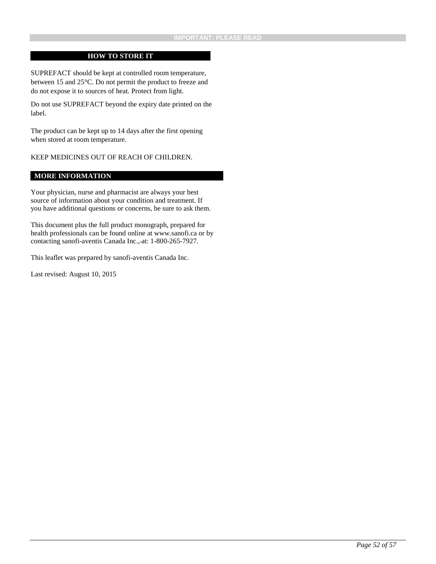#### **HOW TO STORE IT**

SUPREFACT should be kept at controlled room temperature, between 15 and 25°C. Do not permit the product to freeze and do not expose it to sources of heat. Protect from light.

Do not use SUPREFACT beyond the expiry date printed on the label.

The product can be kept up to 14 days after the first opening when stored at room temperature.

KEEP MEDICINES OUT OF REACH OF CHILDREN.

#### **MORE INFORMATION**

Your physician, nurse and pharmacist are always your best source of information about your condition and treatment. If you have additional questions or concerns, be sure to ask them.

This document plus the full product monograph, prepared for health professionals can be found online at www.sanofi.ca or by contacting sanofi-aventis Canada Inc., at: 1-800-265-7927.

This leaflet was prepared by sanofi-aventis Canada Inc.

Last revised: August 10, 2015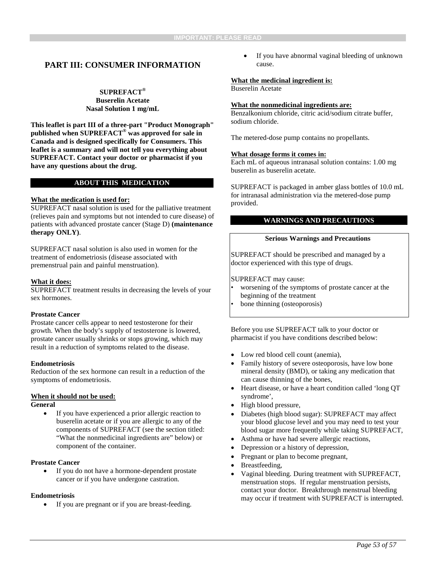# <span id="page-52-0"></span>**PART III: CONSUMER INFORMATION**

#### **SUPREFACT® Buserelin Acetate Nasal Solution 1 mg/mL**

**This leaflet is part III of a three-part "Product Monograph" published when SUPREFACT® was approved for sale in Canada and is designed specifically for Consumers. This leaflet is a summary and will not tell you everything about SUPREFACT. Contact your doctor or pharmacist if you have any questions about the drug.**

## **ABOUT THIS MEDICATION**

#### **What the medication is used for:**

SUPREFACT nasal solution is used for the palliative treatment (relieves pain and symptoms but not intended to cure disease) of patients with advanced prostate cancer (Stage D) **(maintenance therapy ONLY)**.

SUPREFACT nasal solution is also used in women for the treatment of endometriosis (disease associated with premenstrual pain and painful menstruation).

#### **What it does:**

SUPREFACT treatment results in decreasing the levels of your sex hormones.

#### **Prostate Cancer**

Prostate cancer cells appear to need testosterone for their growth. When the body's supply of testosterone is lowered, prostate cancer usually shrinks or stops growing, which may result in a reduction of symptoms related to the disease.

#### **Endometriosis**

Reduction of the sex hormone can result in a reduction of the symptoms of endometriosis.

#### **When it should not be used:**

#### **General**

If you have experienced a prior allergic reaction to buserelin acetate or if you are allergic to any of the components of SUPREFACT (see the section titled: "What the nonmedicinal ingredients are" below) or component of the container.

#### **Prostate Cancer**

• If you do not have a hormone-dependent prostate cancer or if you have undergone castration.

#### **Endometriosis**

• If you are pregnant or if you are breast-feeding.

If you have abnormal vaginal bleeding of unknown cause.

#### **What the medicinal ingredient is:**

Buserelin Acetate

#### **What the nonmedicinal ingredients are:**

Benzalkonium chloride, citric acid/sodium citrate buffer, sodium chloride.

The metered-dose pump contains no propellants.

#### **What dosage forms it comes in:**

Each mL of aqueous intranasal solution contains: 1.00 mg buserelin as buserelin acetate.

SUPREFACT is packaged in amber glass bottles of 10.0 mL for intranasal administration via the metered-dose pump provided.

#### **WARNINGS AND PRECAUTIONS**

#### **Serious Warnings and Precautions**

SUPREFACT should be prescribed and managed by a doctor experienced with this type of drugs.

SUPREFACT may cause:

- worsening of the symptoms of prostate cancer at the beginning of the treatment
- bone thinning (osteoporosis)

Before you use SUPREFACT talk to your doctor or pharmacist if you have conditions described below:

- Low red blood cell count (anemia),
- Family history of severe osteoporosis, have low bone mineral density (BMD), or taking any medication that can cause thinning of the bones,
- Heart disease, or have a heart condition called 'long QT syndrome',
- High blood pressure,
- Diabetes (high blood sugar): SUPREFACT may affect your blood glucose level and you may need to test your blood sugar more frequently while taking SUPREFACT,
- Asthma or have had severe allergic reactions,
- Depression or a history of depression,
- Pregnant or plan to become pregnant,
- Breastfeeding,
- Vaginal bleeding. During treatment with SUPREFACT, menstruation stops. If regular menstruation persists, contact your doctor. Breakthrough menstrual bleeding may occur if treatment with SUPREFACT is interrupted.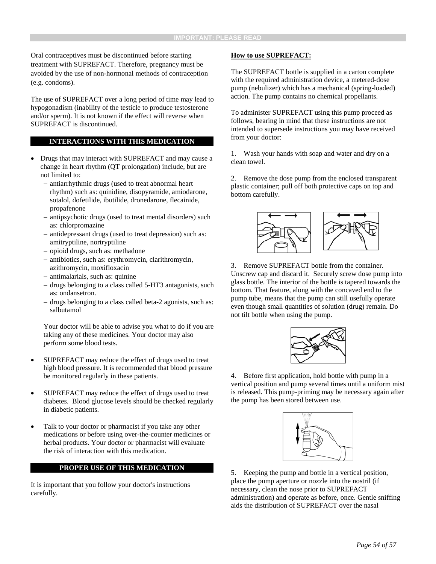Oral contraceptives must be discontinued before starting treatment with SUPREFACT. Therefore, pregnancy must be avoided by the use of non-hormonal methods of contraception (e.g. condoms).

The use of SUPREFACT over a long period of time may lead to hypogonadism (inability of the testicle to produce testosterone and/or sperm). It is not known if the effect will reverse when SUPREFACT is discontinued.

#### **INTERACTIONS WITH THIS MEDICATION**

- Drugs that may interact with SUPREFACT and may cause a change in heart rhythm (QT prolongation) include, but are not limited to:
	- − antiarrhythmic drugs (used to treat abnormal heart rhythm) such as: quinidine, disopyramide, amiodarone, sotalol, dofetilide, ibutilide, dronedarone, flecainide, propafenone
	- − antipsychotic drugs (used to treat mental disorders) such as: chlorpromazine
	- − antidepressant drugs (used to treat depression) such as: amitryptiline, nortryptiline
	- − opioid drugs, such as: methadone
	- − antibiotics, such as: erythromycin, clarithromycin, azithromycin, moxifloxacin
	- − antimalarials, such as: quinine
	- drugs belonging to a class called 5-HT3 antagonists, such as: ondansetron.
	- − drugs belonging to a class called beta-2 agonists, such as: salbutamol

Your doctor will be able to advise you what to do if you are taking any of these medicines. Your doctor may also perform some blood tests.

- SUPREFACT may reduce the effect of drugs used to treat high blood pressure. It is recommended that blood pressure be monitored regularly in these patients.
- SUPREFACT may reduce the effect of drugs used to treat diabetes. Blood glucose levels should be checked regularly in diabetic patients.
- Talk to your doctor or pharmacist if you take any other medications or before using over-the-counter medicines or herbal products. Your doctor or pharmacist will evaluate the risk of interaction with this medication.

#### **PROPER USE OF THIS MEDICATION**

It is important that you follow your doctor's instructions carefully.

#### **How to use SUPREFACT:**

The SUPREFACT bottle is supplied in a carton complete with the required administration device, a metered-dose pump (nebulizer) which has a mechanical (spring-loaded) action. The pump contains no chemical propellants.

To administer SUPREFACT using this pump proceed as follows, bearing in mind that these instructions are not intended to supersede instructions you may have received from your doctor:

1. Wash your hands with soap and water and dry on a clean towel.

2. Remove the dose pump from the enclosed transparent plastic container; pull off both protective caps on top and bottom carefully.



3. Remove SUPREFACT bottle from the container. Unscrew cap and discard it. Securely screw dose pump into glass bottle. The interior of the bottle is tapered towards the bottom. That feature, along with the concaved end to the pump tube, means that the pump can still usefully operate even though small quantities of solution (drug) remain. Do not tilt bottle when using the pump.



4. Before first application, hold bottle with pump in a vertical position and pump several times until a uniform mist is released. This pump-priming may be necessary again after the pump has been stored between use.



5. Keeping the pump and bottle in a vertical position, place the pump aperture or nozzle into the nostril (if necessary, clean the nose prior to SUPREFACT administration) and operate as before, once. Gentle sniffing aids the distribution of SUPREFACT over the nasal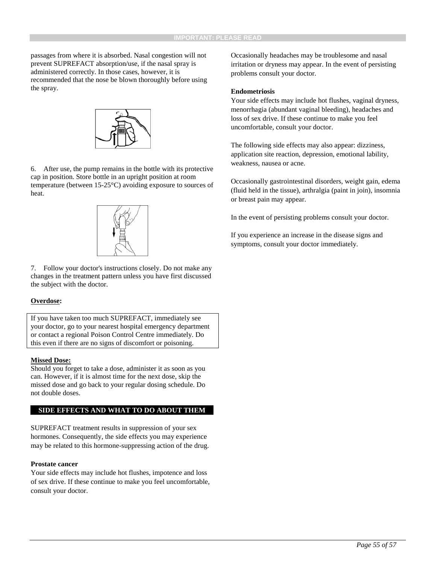passages from where it is absorbed. Nasal congestion will not prevent SUPREFACT absorption/use, if the nasal spray is administered correctly. In those cases, however, it is recommended that the nose be blown thoroughly before using the spray.



6. After use, the pump remains in the bottle with its protective cap in position. Store bottle in an upright position at room temperature (between 15-25°C) avoiding exposure to sources of heat.



7. Follow your doctor's instructions closely. Do not make any changes in the treatment pattern unless you have first discussed the subject with the doctor.

#### **Overdose:**

If you have taken too much SUPREFACT, immediately see your doctor, go to your nearest hospital emergency department or contact a regional Poison Control Centre immediately. Do this even if there are no signs of discomfort or poisoning.

#### **Missed Dose:**

Should you forget to take a dose, administer it as soon as you can. However, if it is almost time for the next dose, skip the missed dose and go back to your regular dosing schedule. Do not double doses.

#### **SIDE EFFECTS AND WHAT TO DO ABOUT THEM**

SUPREFACT treatment results in suppression of your sex hormones. Consequently, the side effects you may experience may be related to this hormone-suppressing action of the drug.

#### **Prostate cancer**

Your side effects may include hot flushes, impotence and loss of sex drive. If these continue to make you feel uncomfortable, consult your doctor.

Occasionally headaches may be troublesome and nasal irritation or dryness may appear. In the event of persisting problems consult your doctor.

#### **Endometriosis**

Your side effects may include hot flushes, vaginal dryness, menorrhagia (abundant vaginal bleeding), headaches and loss of sex drive. If these continue to make you feel uncomfortable, consult your doctor.

The following side effects may also appear: dizziness, application site reaction, depression, emotional lability, weakness, nausea or acne.

Occasionally gastrointestinal disorders, weight gain, edema (fluid held in the tissue), arthralgia (paint in join), insomnia or breast pain may appear.

In the event of persisting problems consult your doctor.

If you experience an increase in the disease signs and symptoms, consult your doctor immediately.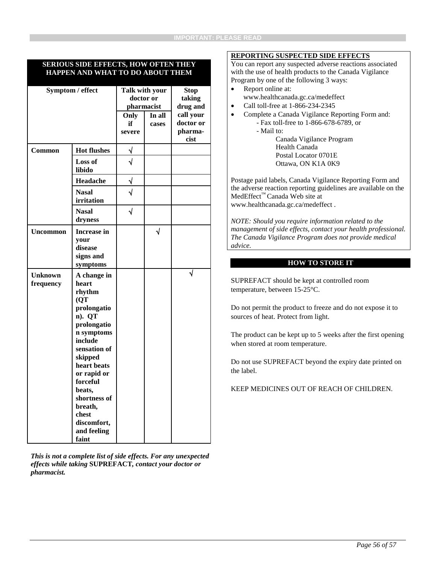#### **SERIOUS SIDE EFFECTS, HOW OFTEN THEY HAPPEN AND WHAT TO DO ABOUT THEM**

| Symptom / effect |                          | doctor or | Talk with your<br>pharmacist | <b>Stop</b><br>taking<br>drug and |
|------------------|--------------------------|-----------|------------------------------|-----------------------------------|
|                  |                          | Only      | In all                       | call your                         |
|                  |                          | if        | cases                        | doctor or                         |
|                  |                          | severe    |                              | pharma-                           |
|                  |                          |           |                              | cist                              |
| Common           | <b>Hot flushes</b>       | $\sqrt{}$ |                              |                                   |
|                  | <b>Loss of</b><br>libido | J         |                              |                                   |
|                  | Headache                 | $\sqrt{}$ |                              |                                   |
|                  | <b>Nasal</b>             | $\sqrt{}$ |                              |                                   |
|                  | irritation               |           |                              |                                   |
|                  | <b>Nasal</b><br>dryness  | $\sqrt{}$ |                              |                                   |
| <b>Uncommon</b>  | <b>Increase in</b>       |           | $\sqrt{}$                    |                                   |
|                  | your                     |           |                              |                                   |
|                  | disease                  |           |                              |                                   |
|                  | signs and                |           |                              |                                   |
|                  | symptoms                 |           |                              |                                   |
| <b>Unknown</b>   | A change in              |           |                              |                                   |
| frequency        | heart                    |           |                              |                                   |
|                  | rhythm                   |           |                              |                                   |
|                  | (QT                      |           |                              |                                   |
|                  | prolongatio              |           |                              |                                   |
|                  | n). QT                   |           |                              |                                   |
|                  | prolongatio              |           |                              |                                   |
|                  | n symptoms               |           |                              |                                   |
|                  | include                  |           |                              |                                   |
|                  | sensation of             |           |                              |                                   |
|                  | skipped                  |           |                              |                                   |
|                  | heart beats              |           |                              |                                   |
|                  | or rapid or              |           |                              |                                   |
|                  | forceful                 |           |                              |                                   |
|                  | beats,                   |           |                              |                                   |
|                  | shortness of             |           |                              |                                   |
|                  | breath,                  |           |                              |                                   |
|                  | chest                    |           |                              |                                   |
|                  | discomfort,              |           |                              |                                   |
|                  | and feeling              |           |                              |                                   |
|                  | faint                    |           |                              |                                   |

*This is not a complete list of side effects. For any unexpected effects while taking* **SUPREFACT***, contact your doctor or pharmacist.*

#### **REPORTING SUSPECTED SIDE EFFECTS**

You can report any suspected adverse reactions associated with the use of health products to the Canada Vigilance Program by one of the following 3 ways:

- Report online at: www.healthcanada.gc.ca/medeffect
- Call toll-free at 1-866-234-2345
- Complete a Canada Vigilance Reporting Form and: - Fax toll-free to 1-866-678-6789, or
	- Mail to: Canada Vigilance Program Health Canada Postal Locator 0701E Ottawa, ON K1A 0K9

Postage paid labels, Canada Vigilance Reporting Form and the adverse reaction reporting guidelines are available on the MedEffect™ Canada Web site at www.healthcanada.gc.ca/medeffect .

*NOTE: Should you require information related to the management of side effects, contact your health professional. The Canada Vigilance Program does not provide medical advice.*

#### **HOW TO STORE IT**

SUPREFACT should be kept at controlled room temperature, between 15-25°C.

Do not permit the product to freeze and do not expose it to sources of heat. Protect from light.

The product can be kept up to 5 weeks after the first opening when stored at room temperature.

Do not use SUPREFACT beyond the expiry date printed on the label.

KEEP MEDICINES OUT OF REACH OF CHILDREN.